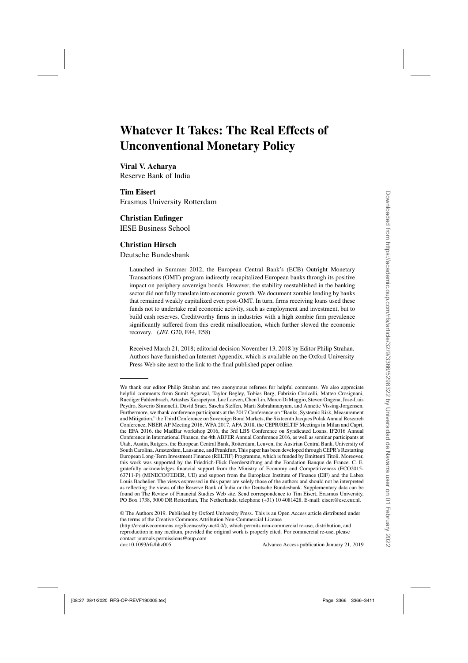# **Whatever It Takes: The Real Effects of Unconventional Monetary Policy**

**Viral V. Acharya** Reserve Bank of India

**Tim Eisert** Erasmus University Rotterdam

# **Christian Eufinger**

IESE Business School

# **Christian Hirsch**

# Deutsche Bundesbank

Launched in Summer 2012, the European Central Bank's (ECB) Outright Monetary Transactions (OMT) program indirectly recapitalized European banks through its positive impact on periphery sovereign bonds. However, the stability reestablished in the banking sector did not fully translate into economic growth. We document zombie lending by banks that remained weakly capitalized even post-OMT. In turn, firms receiving loans used these funds not to undertake real economic activity, such as employment and investment, but to build cash reserves. Creditworthy firms in industries with a high zombie firm prevalence significantly suffered from this credit misallocation, which further slowed the economic recovery. (*JEL* G20, E44, E58)

Received March 21, 2018; editorial decision November 13, 2018 by Editor Philip Strahan. Authors have furnished an Internet Appendix, which is available on the Oxford University Press Web site next to the link to the final published paper online.

(http://creativecommons.org/licenses/by-nc/4.0/), which permits non-commercial re-use, distribution, and reproduction in any medium, provided the original work is properly cited. For commercial re-use, please contact<journals.permissions@oup.com><br>doi:10.1093/rfs/hhz005

We thank our editor Philip Strahan and two anonymous referees for helpful comments. We also appreciate helpful comments from Sumit Agarwal, Taylor Begley, Tobias Berg, Fabrizio Coricelli, Matteo Crosignani, Ruediger Fahlenbrach, Artashes Karapetyan, Luc Laeven, Chen Lin, Marco Di Maggio, Steven Ongena, Jose-Luis Peydro, Saverio Simonelli, David Sraer, Sascha Steffen, Marti Subrahmanyam, and Annette Vissing-Jorgensen. Furthermore, we thank conference participants at the 2017 Conference on "Banks, Systemic Risk, Measurement and Mitigation," the Third Conference on Sovereign Bond Markets, the Sixteenth Jacques Polak Annual Research Conference, NBER AP Meeting 2016, WFA 2017, AFA 2018, the CEPR/RELTIF Meetings in Milan and Capri, the EFA 2016, the MadBar workshop 2016, the 3rd LBS Conference on Syndicated Loans, IF2016 Annual Conference in International Finance, the 4th ABFER Annual Conference 2016, as well as seminar participants at Utah, Austin, Rutgers, the European Central Bank, Rotterdam, Leuven, the Austrian Central Bank, University of South Carolina, Amsterdam, Lausanne, and Frankfurt. This paper has been developed through CEPR's Restarting European Long-Term Investment Finance (RELTIF) Programme, which is funded by Emittenti Titoli. Moreover, this work was supported by the Friedrich-Flick Foerderstiftung and the Fondation Banque de France. C. E. gratefully acknowledges financial support from the Ministry of Economy and Competitiveness (ECO2015- 63711-P) (MINECO/FEDER, UE) and support from the Europlace Institute of Finance (EIF) and the Labex Louis Bachelier. The views expressed in this paper are solely those of the authors and should not be interpreted as reflecting the views of the Reserve Bank of India or the Deutsche Bundesbank. [Supplementary data](https://academic.oup.com/rfs/article-lookup/doi/10.1093/rfs/hhz005#supplementary-data) can be found on The Review of Financial Studies Web site. Send correspondence to Tim Eisert, Erasmus University, PO Box 1738, 3000 DR Rotterdam, The Netherlands; telephone (+31) 10 4081428. E-mail: eisert@ese.eur.nl.

<sup>©</sup> The Authors 2019. Published by Oxford University Press. This is an Open Access article distributed under the terms of the Creative Commons Attribution Non-Commercial License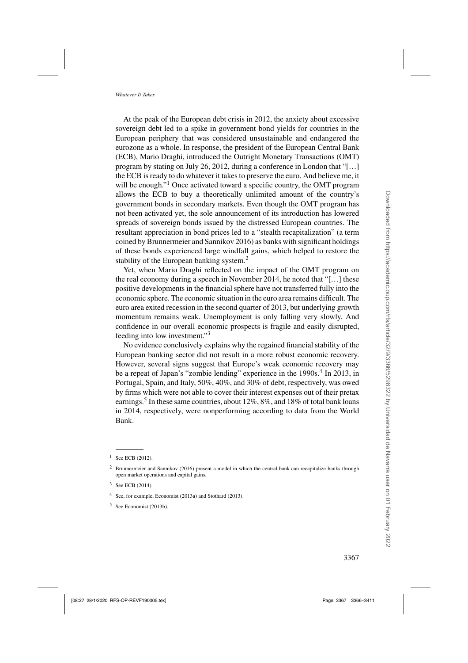At the peak of the European debt crisis in 2012, the anxiety about excessive sovereign debt led to a spike in government bond yields for countries in the European periphery that was considered unsustainable and endangered the eurozone as a whole. In response, the president of the European Central Bank (ECB), Mario Draghi, introduced the Outright Monetary Transactions (OMT) program by stating on July 26, 2012, during a conference in London that "[…] the ECB is ready to do whatever it takes to preserve the euro. And believe me, it will be enough."<sup>1</sup> Once activated toward a specific country, the OMT program allows the ECB to buy a theoretically unlimited amount of the country's government bonds in secondary markets. Even though the OMT program has not been activated yet, the sole announcement of its introduction has lowered spreads of sovereign bonds issued by the distressed European countries. The resultant appreciation in bond prices led to a "stealth recapitalization" (a term coined by [Brunnermeier and Sannikov 2016](#page-43-0)) as banks with significant holdings of these bonds experienced large windfall gains, which helped to restore the stability of the European banking system.<sup>2</sup>

Yet, when Mario Draghi reflected on the impact of the OMT program on the real economy during a speech in November 2014, he noted that "[…] these positive developments in the financial sphere have not transferred fully into the economic sphere. The economic situation in the euro area remains difficult. The euro area exited recession in the second quarter of 2013, but underlying growth momentum remains weak. Unemployment is only falling very slowly. And confidence in our overall economic prospects is fragile and easily disrupted, feeding into low investment."<sup>3</sup>

No evidence conclusively explains why the regained financial stability of the European banking sector did not result in a more robust economic recovery. However, several signs suggest that Europe's weak economic recovery may be a repeat of Japan's "zombie lending" experience in the 1990s.<sup>4</sup> In 2013, in Portugal, Spain, and Italy, 50%, 40%, and 30% of debt, respectively, was owed by firms which were not able to cover their interest expenses out of their pretax earnings.<sup>5</sup> In these same countries, about 12%, 8%, and 18% of total bank loans in 2014, respectively, were nonperforming according to data from the World Bank.

<sup>&</sup>lt;sup>1</sup> See [ECB](#page-44-0) [\(2012](#page-44-0)).

<sup>&</sup>lt;sup>2</sup> [Brunnermeier and Sannikov \(2016](#page-43-0)) present a model in which the central bank can recapitalize banks through open market operations and capital gains.

<sup>3</sup> See [ECB](#page-44-0) [\(2014](#page-44-0)).

See, for example, [Economist](#page-44-0) [\(2013a](#page-44-0)) and [Stothard](#page-45-0) [\(2013\)](#page-45-0).

<sup>5</sup> See [Economist \(2013b\)](#page-44-0).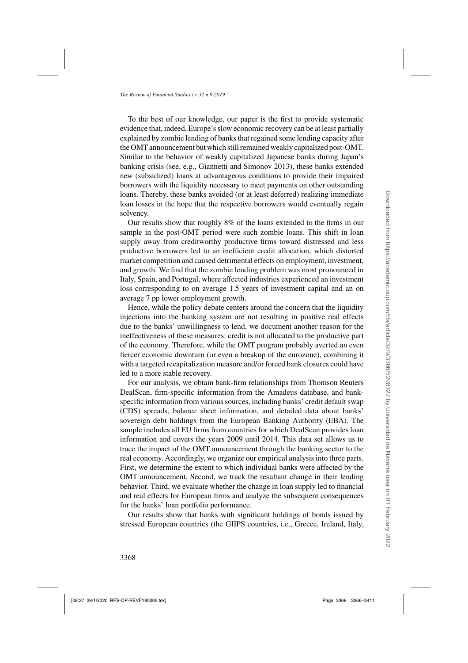To the best of our knowledge, our paper is the first to provide systematic evidence that, indeed, Europe's slow economic recovery can be at least partially explained by zombie lending of banks that regained some lending capacity after the OMT announcement but which still remained weakly capitalized post-OMT. Similar to the behavior of weakly capitalized Japanese banks during Japan's banking crisis (see, e.g., [Giannetti and Simonov 2013](#page-44-0)), these banks extended new (subsidized) loans at advantageous conditions to provide their impaired borrowers with the liquidity necessary to meet payments on other outstanding loans. Thereby, these banks avoided (or at least deferred) realizing immediate loan losses in the hope that the respective borrowers would eventually regain solvency.

Our results show that roughly 8% of the loans extended to the firms in our sample in the post-OMT period were such zombie loans. This shift in loan supply away from creditworthy productive firms toward distressed and less productive borrowers led to an inefficient credit allocation, which distorted market competition and caused detrimental effects on employment, investment, and growth. We find that the zombie lending problem was most pronounced in Italy, Spain, and Portugal, where affected industries experienced an investment loss corresponding to on average 1.5 years of investment capital and an on average 7 pp lower employment growth.

Hence, while the policy debate centers around the concern that the liquidity injections into the banking system are not resulting in positive real effects due to the banks' unwillingness to lend, we document another reason for the ineffectiveness of these measures: credit is not allocated to the productive part of the economy. Therefore, while the OMT program probably averted an even fiercer economic downturn (or even a breakup of the eurozone), combining it with a targeted recapitalization measure and/or forced bank closures could have led to a more stable recovery.

For our analysis, we obtain bank-firm relationships from Thomson Reuters DealScan, firm-specific information from the Amadeus database, and bankspecific information from various sources, including banks' credit default swap (CDS) spreads, balance sheet information, and detailed data about banks' sovereign debt holdings from the European Banking Authority (EBA). The sample includes all EU firms from countries for which DealScan provides loan information and covers the years 2009 until 2014. This data set allows us to trace the impact of the OMT announcement through the banking sector to the real economy. Accordingly, we organize our empirical analysis into three parts. First, we determine the extent to which individual banks were affected by the OMT announcement. Second, we track the resultant change in their lending behavior. Third, we evaluate whether the change in loan supply led to financial and real effects for European firms and analyze the subsequent consequences for the banks' loan portfolio performance.

Our results show that banks with significant holdings of bonds issued by stressed European countries (the GIIPS countries, i.e., Greece, Ireland, Italy,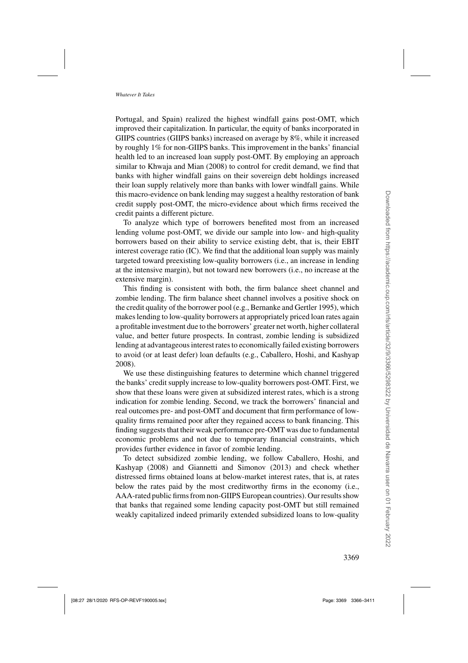Portugal, and Spain) realized the highest windfall gains post-OMT, which improved their capitalization. In particular, the equity of banks incorporated in GIIPS countries (GIIPS banks) increased on average by 8%, while it increased by roughly 1% for non-GIIPS banks. This improvement in the banks' financial health led to an increased loan supply post-OMT. By employing an approach similar to [Khwaja and Mian](#page-45-0) [\(2008](#page-45-0)) to control for credit demand, we find that banks with higher windfall gains on their sovereign debt holdings increased their loan supply relatively more than banks with lower windfall gains. While this macro-evidence on bank lending may suggest a healthy restoration of bank credit supply post-OMT, the micro-evidence about which firms received the credit paints a different picture.

To analyze which type of borrowers benefited most from an increased lending volume post-OMT, we divide our sample into low- and high-quality borrowers based on their ability to service existing debt, that is, their EBIT interest coverage ratio (IC). We find that the additional loan supply was mainly targeted toward preexisting low-quality borrowers (i.e., an increase in lending at the intensive margin), but not toward new borrowers (i.e., no increase at the extensive margin).

This finding is consistent with both, the firm balance sheet channel and zombie lending. The firm balance sheet channel involves a positive shock on the credit quality of the borrower pool (e.g., [Bernanke and Gertler 1995](#page-43-0)), which makes lending to low-quality borrowers at appropriately priced loan rates again a profitable investment due to the borrowers' greater net worth, higher collateral value, and better future prospects. In contrast, zombie lending is subsidized lending at advantageous interest rates to economically failed existing borrowers to avoid (or at least defer) loan defaults (e.g., [Caballero, Hoshi, and Kashyap](#page-43-0) [2008\)](#page-43-0).

We use these distinguishing features to determine which channel triggered the banks' credit supply increase to low-quality borrowers post-OMT. First, we show that these loans were given at subsidized interest rates, which is a strong indication for zombie lending. Second, we track the borrowers' financial and real outcomes pre- and post-OMT and document that firm performance of lowquality firms remained poor after they regained access to bank financing. This finding suggests that their weak performance pre-OMT was due to fundamental economic problems and not due to temporary financial constraints, which provides further evidence in favor of zombie lending.

To d[etect subsidized zombie lending, we follow](#page-43-0) Caballero, Hoshi, and Kashyap [\(2008](#page-43-0)) and [Giannetti and Simonov](#page-44-0) [\(2013\)](#page-44-0) and check whether distressed firms obtained loans at below-market interest rates, that is, at rates below the rates paid by the most creditworthy firms in the economy (i.e., AAA-rated public firms from non-GIIPS European countries). Our results show that banks that regained some lending capacity post-OMT but still remained weakly capitalized indeed primarily extended subsidized loans to low-quality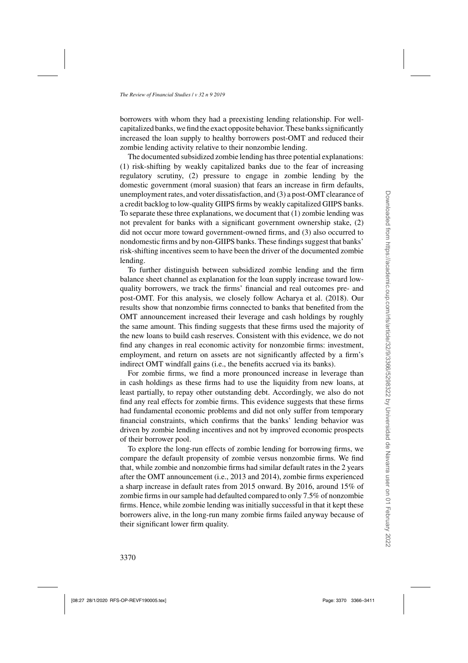borrowers with whom they had a preexisting lending relationship. For wellcapitalized banks, we find the exact opposite behavior. These banks significantly increased the loan supply to healthy borrowers post-OMT and reduced their zombie lending activity relative to their nonzombie lending.

The documented subsidized zombie lending has three potential explanations: (1) risk-shifting by weakly capitalized banks due to the fear of increasing regulatory scrutiny, (2) pressure to engage in zombie lending by the domestic government (moral suasion) that fears an increase in firm defaults, unemployment rates, and voter dissatisfaction, and (3) a post-OMT clearance of a credit backlog to low-quality GIIPS firms by weakly capitalized GIIPS banks. To separate these three explanations, we document that (1) zombie lending was not prevalent for banks with a significant government ownership stake, (2) did not occur more toward government-owned firms, and (3) also occurred to nondomestic firms and by non-GIIPS banks. These findings suggest that banks' risk-shifting incentives seem to have been the driver of the documented zombie lending.

To further distinguish between subsidized zombie lending and the firm balance sheet channel as explanation for the loan supply increase toward lowquality borrowers, we track the firms' financial and real outcomes pre- and post-OMT. For this analysis, we closely follow [Acharya et al.](#page-43-0) [\(2018](#page-43-0)). Our results show that nonzombie firms connected to banks that benefited from the OMT announcement increased their leverage and cash holdings by roughly the same amount. This finding suggests that these firms used the majority of the new loans to build cash reserves. Consistent with this evidence, we do not find any changes in real economic activity for nonzombie firms: investment, employment, and return on assets are not significantly affected by a firm's indirect OMT windfall gains (i.e., the benefits accrued via its banks).

For zombie firms, we find a more pronounced increase in leverage than in cash holdings as these firms had to use the liquidity from new loans, at least partially, to repay other outstanding debt. Accordingly, we also do not find any real effects for zombie firms. This evidence suggests that these firms had fundamental economic problems and did not only suffer from temporary financial constraints, which confirms that the banks' lending behavior was driven by zombie lending incentives and not by improved economic prospects of their borrower pool.

To explore the long-run effects of zombie lending for borrowing firms, we compare the default propensity of zombie versus nonzombie firms. We find that, while zombie and nonzombie firms had similar default rates in the 2 years after the OMT announcement (i.e., 2013 and 2014), zombie firms experienced a sharp increase in default rates from 2015 onward. By 2016, around 15% of zombie firms in our sample had defaulted compared to only 7.5% of nonzombie firms. Hence, while zombie lending was initially successful in that it kept these borrowers alive, in the long-run many zombie firms failed anyway because of their significant lower firm quality.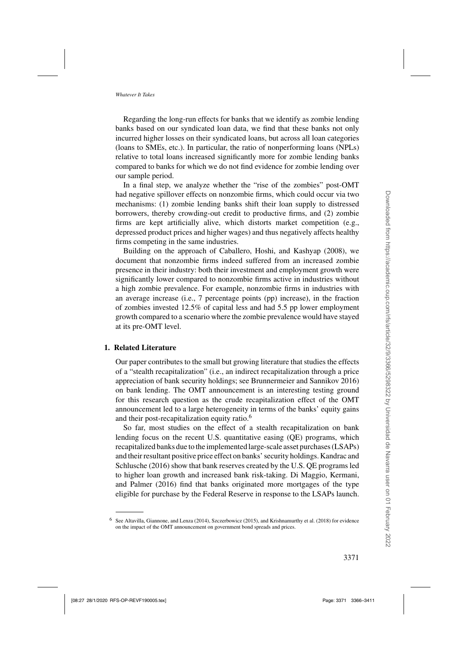Regarding the long-run effects for banks that we identify as zombie lending banks based on our syndicated loan data, we find that these banks not only incurred higher losses on their syndicated loans, but across all loan categories (loans to SMEs, etc.). In particular, the ratio of nonperforming loans (NPLs) relative to total loans increased significantly more for zombie lending banks compared to banks for which we do not find evidence for zombie lending over our sample period.

In a final step, we analyze whether the "rise of the zombies" post-OMT had negative spillover effects on nonzombie firms, which could occur via two mechanisms: (1) zombie lending banks shift their loan supply to distressed borrowers, thereby crowding-out credit to productive firms, and (2) zombie firms are kept artificially alive, which distorts market competition (e.g., depressed product prices and higher wages) and thus negatively affects healthy firms competing in the same industries.

Building on the approach of [Caballero, Hoshi, and Kashyap](#page-43-0) [\(2008\)](#page-43-0), we document that nonzombie firms indeed suffered from an increased zombie presence in their industry: both their investment and employment growth were significantly lower compared to nonzombie firms active in industries without a high zombie prevalence. For example, nonzombie firms in industries with an average increase (i.e., 7 percentage points (pp) increase), in the fraction of zombies invested 12.5% of capital less and had 5.5 pp lower employment growth compared to a scenario where the zombie prevalence would have stayed at its pre-OMT level.

# **1. Related Literature**

Our paper contributes to the small but growing literature that studies the effects of a "stealth recapitalization" (i.e., an indirect recapitalization through a price appreciation of bank security holdings; see [Brunnermeier and Sannikov 2016](#page-43-0)) on bank lending. The OMT announcement is an interesting testing ground for this research question as the crude recapitalization effect of the OMT announcement led to a large heterogeneity in terms of the banks' equity gains and their post-recapitalization equity ratio.<sup>6</sup>

So far, most studies on the effect of a stealth recapitalization on bank lending focus on the recent U.S. quantitative easing (QE) programs, which recapitalized banks due to the implemented large-scale asset purchases (LSAPs) and their resultant positive price effect on banks' security holdings. Kandrac and Schlusche [\(2016](#page-44-0)) show that bank reserves created by the U.S. QE programs led to higher l[oan growth and increased bank risk-taking.](#page-44-0) Di Maggio, Kermani, and Palmer [\(2016\)](#page-44-0) find that banks originated more mortgages of the type eligible for purchase by the Federal Reserve in response to the LSAPs launch.

<sup>6</sup> See [Altavilla, Giannone, and Lenza](#page-43-0) [\(2014](#page-43-0)), [Szczerbowicz \(2015](#page-45-0)), and [Krishnamurthy et al.](#page-45-0) [\(2018](#page-45-0)) for evidence on the impact of the OMT announcement on government bond spreads and prices.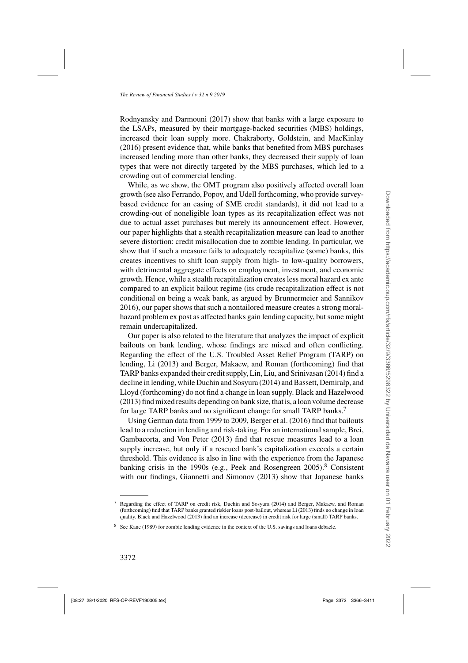[Rodnyansky and Darmouni](#page-45-0) [\(2017](#page-45-0)) show that banks with a large exposure to the LSAPs, measured by their mortgage-backed securities (MBS) holdings, increased their loan supply more. [Chakraborty, Goldstein, and MacKinlay](#page-44-0) [\(2016\)](#page-44-0) present evidence that, while banks that benefited from MBS purchases increased lending more than other banks, they decreased their supply of loan types that were not directly targeted by the MBS purchases, which led to a crowding out of commercial lending.

While, as we show, the OMT program also positively affected overall loan growth (see also [Ferrando, Popov, and Udell forthcoming](#page-44-0), who provide surveybased evidence for an easing of SME credit standards), it did not lead to a crowding-out of noneligible loan types as its recapitalization effect was not due to actual asset purchases but merely its announcement effect. However, our paper highlights that a stealth recapitalization measure can lead to another severe distortion: credit misallocation due to zombie lending. In particular, we show that if such a measure fails to adequately recapitalize (some) banks, this creates incentives to shift loan supply from high- to low-quality borrowers, with detrimental aggregate effects on employment, investment, and economic growth. Hence, while a stealth recapitalization creates less moral hazard ex ante compared to an explicit bailout regime (its crude recapitalization effect is not conditional on being a weak bank, as argued by [Brunnermeier and Sannikov](#page-43-0) [2016](#page-43-0)), our paper shows that such a nontailored measure creates a strong moralhazard problem ex post as affected banks gain lending capacity, but some might remain undercapitalized.

Our paper is also related to the literature that analyzes the impact of explicit bailouts on bank lending, whose findings are mixed and often conflicting. Regarding the effect of the U.S. Troubled Asset Relief Program (TARP) on lending, [Li](#page-45-0) [\(2013](#page-45-0)) and [Berger, Makaew, and Roman](#page-43-0) [\(forthcoming\)](#page-43-0) find that TARP banks expanded their credit supply, [Lin, Liu, and Srinivasan](#page-45-0) [\(2014\)](#page-45-0) find a decli[ne in lending, while](#page-43-0) [Duchin and Sosyura](#page-44-0)[\(2014](#page-44-0)[\) and](#page-43-0) Bassett, Demiralp, and Lloyd [\(forthcoming\)](#page-43-0) do not find a change in loan supply. [Black and Hazelwood](#page-43-0) [\(2013\)](#page-43-0) find mixed results depending on bank size, that is, a loan volume decrease for large TARP banks and no significant change for small TARP banks.<sup>7</sup>

Using German data from 1999 to 2009, [Berger et al.](#page-43-0) [\(2016\)](#page-43-0) find that bailouts lead to a reduction in lendin[g and risk-taking. For an international sample,](#page-43-0) Brei, Gambacorta, and Von Peter [\(2013\)](#page-43-0) find that rescue measures lead to a loan supply increase, but only if a rescued bank's capitalization exceeds a certain threshold. This evidence is also in line with the experience from the Japanese banking crisis in the 1990s (e.g., [Peek and Rosengreen 2005](#page-45-0)).<sup>8</sup> Consistent with our findings, [Giannetti and Simonov](#page-44-0) [\(2013](#page-44-0)) show that Japanese banks

<sup>7</sup> Regarding the effect of TARP on credit risk, [Duchin and Sosyura](#page-44-0) [\(2014](#page-44-0)) and [Berger, Makaew, and Roman](#page-43-0) [\(forthcoming](#page-43-0)) find that TARP banks granted riskier loans post-bailout, wherea[s Li](#page-45-0) [\(2013](#page-45-0)) finds no change in loan quality. [Black and Hazelwood](#page-43-0) [\(2013](#page-43-0)) find an increase (decrease) in credit risk for large (small) TARP banks.

<sup>&</sup>lt;sup>8</sup> See [Kane](#page-44-0) [\(1989\)](#page-44-0) for zombie lending evidence in the context of the U.S. savings and loans debacle.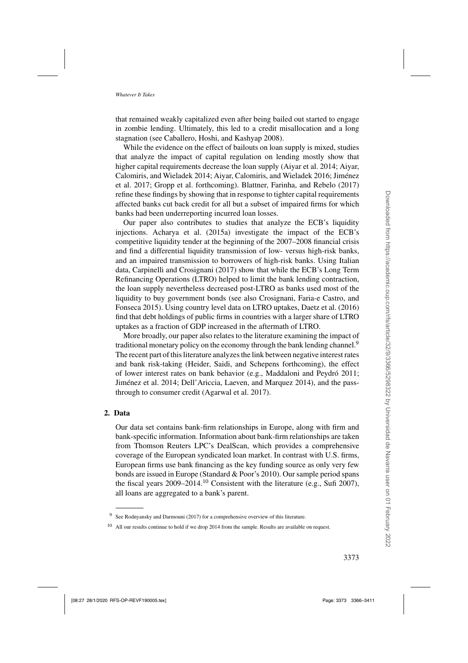that remained weakly capitalized even after being bailed out started to engage in zombie lending. Ultimately, this led to a credit misallocation and a long stagnation (see [Caballero, Hoshi, and Kashyap 2008](#page-43-0)).

While the evidence on the effect of bailouts on loan supply is mixed, studies that analyze the impact of capital regulation on lending mostly show that higher capital requireme[nts decrease the loan supply \(Aiyar et al. 2014;](#page-43-0) Aiyar, Calo[miris, and Wieladek](#page-44-0) [2014](#page-43-0)[;](#page-44-0) [Aiyar, Calomiris, and Wieladek 2016](#page-43-0)[;](#page-44-0) Jiménez et al. [2017](#page-44-0); [Gropp et al. forthcoming\)](#page-44-0). [Blattner, Farinha, and Rebelo](#page-43-0) [\(2017](#page-43-0)) refine these findings by showing that in response to tighter capital requirements affected banks cut back credit for all but a subset of impaired firms for which banks had been underreporting incurred loan losses.

Our paper also contributes to studies that analyze the ECB's liquidity injections. [Acharya et al.](#page-43-0) [\(2015a\)](#page-43-0) investigate the impact of the ECB's competitive liquidity tender at the beginning of the 2007–2008 financial crisis and find a differential liquidity transmission of low- versus high-risk banks, and an impaired transmission to borrowers of high-risk banks. Using Italian data, [Carpinelli and Crosignani](#page-43-0) [\(2017](#page-43-0)) show that while the ECB's Long Term Refinancing Operations (LTRO) helped to limit the bank lending contraction, the loan supply nevertheless decreased post-LTRO as banks used most of the liquidit[y to buy government bonds \(see also](#page-44-0) Crosignani, Faria-e Castro, and Fonseca [2015](#page-44-0)). Using country level data on LTRO uptakes, [Daetz et al.](#page-44-0) [\(2016](#page-44-0)) find that debt holdings of public firms in countries with a larger share of LTRO uptakes as a fraction of GDP increased in the aftermath of LTRO.

More broadly, our paper also relates to the literature examining the impact of traditional monetary policy on the economy through the bank lending channel.<sup>9</sup> The recent part of this literature analyzes the link between negative interest rates and bank risk-taking [\(Heider, Saidi, and Schepens forthcoming](#page-44-0)), the effect of lower interest rates on bank behavior (e.g., [Maddaloni and Peydró 2011;](#page-45-0) [Jiménez et al. 2014; Dell'Ariccia, Laeven, and Marquez 2014](#page-44-0)), and the passthrough to consumer credit [\(Agarwal et al. 2017](#page-43-0)).

# **2. Data**

Our data set contains bank-firm relationships in Europe, along with firm and bank-specific information. Information about bank-firm relationships are taken from Thomson Reuters LPC's DealScan, which provides a comprehensive coverage of the European syndicated loan market. In contrast with U.S. firms, European firms use bank financing as the key funding source as only very few bonds are issued in Europe [\(Standard & Poor's 2010\)](#page-45-0). Our sample period spans the fiscal years  $2009-2014$ .<sup>10</sup> Consistent with the literature (e.g., [Sufi 2007\)](#page-45-0), all loans are aggregated to a bank's parent.

See [Rodnyansky and Darmouni](#page-45-0) [\(2017\)](#page-45-0) for a comprehensive overview of this literature.

All our results continue to hold if we drop 2014 from the sample. Results are available on request.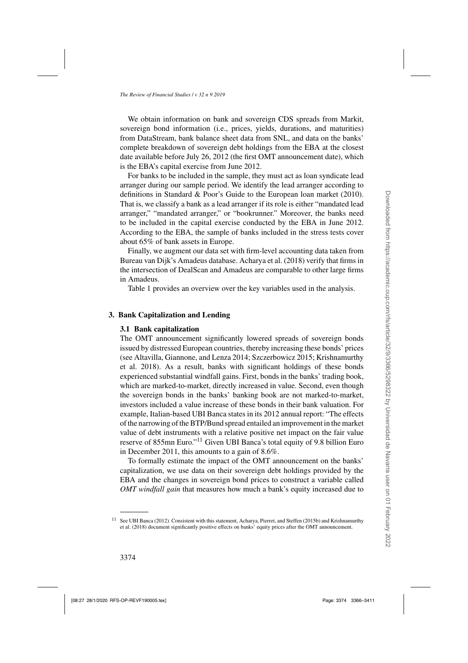We obtain information on bank and sovereign CDS spreads from Markit, sovereign bond information (i.e., prices, yields, durations, and maturities) from DataStream, bank balance sheet data from SNL, and data on the banks' complete breakdown of sovereign debt holdings from the EBA at the closest date available before July 26, 2012 (the first OMT announcement date), which is the EBA's capital exercise from June 2012.

For banks to be included in the sample, they must act as loan syndicate lead arranger during our sample period. We identify the lead arranger according to definitions in Standard & Poor's Guide to the European loan market (2010). That is, we classify a bank as a lead arranger if its role is either "mandated lead arranger," "mandated arranger," or "bookrunner." Moreover, the banks need to be included in the capital exercise conducted by the EBA in June 2012. According to the EBA, the sample of banks included in the stress tests cover about 65% of bank assets in Europe.

Finally, we augment our data set with firm-level accounting data taken from Bureau van Dijk's Amadeus database. [Acharya et al.](#page-43-0) [\(2018](#page-43-0)) verify that firms in the intersection of DealScan and Amadeus are comparable to other large firms in Amadeus.

Table [1](#page-9-0) provides an overview over the key variables used in the analysis.

# **3. Bank Capitalization and Lending**

# **3.1 Bank capitalization**

The OMT announcement significantly lowered spreads of sovereign bonds issued by distressed European countries, thereby increasing these bonds' prices (see [Altavilla, Giannone, and Lenza 2014](#page-43-0)[; Szczerbowicz 2015;](#page-45-0) Krishnamurthy et al. [2018\)](#page-45-0). As a result, banks with significant holdings of these bonds experienced substantial windfall gains. First, bonds in the banks' trading book, which are marked-to-market, directly increased in value. Second, even though the sovereign bonds in the banks' banking book are not marked-to-market, investors included a value increase of these bonds in their bank valuation. For example, Italian-based UBI Banca states in its 2012 annual report: "The effects of the narrowing of the BTP/Bund spread entailed an improvement in the market value of debt instruments with a relative positive net impact on the fair value reserve of 855mn Euro."<sup>11</sup> Given UBI Banca's total equity of 9.8 billion Euro in December 2011, this amounts to a gain of 8.6%.

To formally estimate the impact of the OMT announcement on the banks' capitalization, we use data on their sovereign debt holdings provided by the EBA and the changes in sovereign bond prices to construct a variable called *OMT windfall gain* that measures how much a bank's equity increased due to

<sup>11</sup> See [UBI Banca \(2012\). Consistent with this statement,](#page-45-0) [Acharya, Pierret, and Steffen \(2015b\)](#page-43-0) [and](#page-45-0) Krishnamurthy et al. [\(2018\)](#page-45-0) document significantly positive effects on banks' equity prices after the OMT announcement.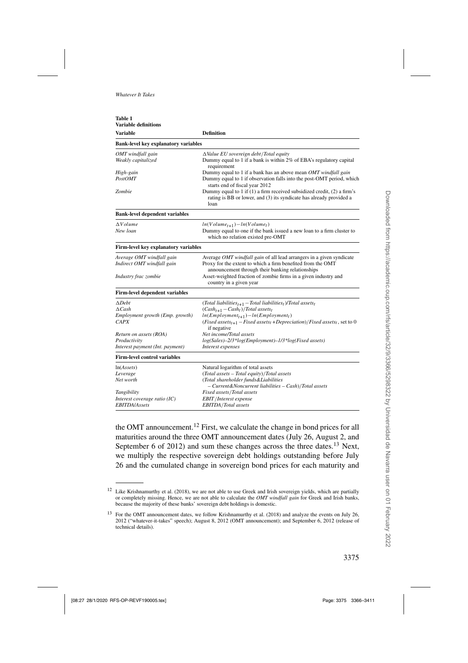<span id="page-9-0"></span>

| <b>Table 1</b><br><b>Variable definitions</b>                                    |                                                                                                                                                                                                                                                                                       |
|----------------------------------------------------------------------------------|---------------------------------------------------------------------------------------------------------------------------------------------------------------------------------------------------------------------------------------------------------------------------------------|
| <b>Variable</b>                                                                  | <b>Definition</b>                                                                                                                                                                                                                                                                     |
| <b>Bank-level key explanatory variables</b>                                      |                                                                                                                                                                                                                                                                                       |
| OMT windfall gain<br>Weakly capitalized                                          | $\Delta$ Value EU sovereign debt/Total equity<br>Dummy equal to 1 if a bank is within 2% of EBA's regulatory capital<br>requirement                                                                                                                                                   |
| High-gain<br><b>PostOMT</b>                                                      | Dummy equal to 1 if a bank has an above mean <i>OMT</i> windfall gain<br>Dummy equal to 1 if observation falls into the post-OMT period, which<br>starts end of fiscal year 2012                                                                                                      |
| Zombie                                                                           | Dummy equal to 1 if $(1)$ a firm received subsidized credit, $(2)$ a firm's<br>rating is BB or lower, and (3) its syndicate has already provided a<br>loan                                                                                                                            |
| <b>Bank-level dependent variables</b>                                            |                                                                                                                                                                                                                                                                                       |
| $\Delta Volume$<br>New loan                                                      | $ln(Volum_{t+1}) - ln(Volum_{t})$<br>Dummy equal to one if the bank issued a new loan to a firm cluster to<br>which no relation existed pre-OMT                                                                                                                                       |
| Firm-level key explanatory variables                                             |                                                                                                                                                                                                                                                                                       |
| Average OMT windfall gain<br>Indirect OMT windfall gain                          | Average OMT windfall gain of all lead arrangers in a given syndicate<br>Proxy for the extent to which a firm benefited from the OMT<br>announcement through their banking relationships                                                                                               |
| Industry frac zombie                                                             | Asset-weighted fraction of zombie firms in a given industry and<br>country in a given year                                                                                                                                                                                            |
| Firm-level dependent variables                                                   |                                                                                                                                                                                                                                                                                       |
| $\Delta$ Debt<br>$\Delta Cash$<br>Employment growth (Emp. growth)<br><b>CAPX</b> | (Total liabilities <sub>t+1</sub> - Total liabilities <sub>t</sub> )/Total assets <sub>t</sub><br>$(Cash_{t+1} - Cash_t)/Total$ assets <sub>t</sub><br>$ln(Employment_{t+1})-ln(Employment_t)$<br>$(Fixed\ assets_{t+1} - Fixed\ assets_t + Depreciation)/Fixed\ assets_t$ , set to 0 |
| Return on assets (ROA)<br>Productivity<br>Interest payment (Int. payment)        | if negative<br>Net income/Total assets<br>log(Sales)-2/3*log(Employment)-1/3*log(Fixed assets)<br>Interest expenses                                                                                                                                                                   |
| <b>Firm-level control variables</b>                                              |                                                                                                                                                                                                                                                                                       |
| $ln(A \, \text{s} \text{.} \text{.})$<br>Leverage<br>Net worth<br>Tangibility    | Natural logarithm of total assets<br>(Total assets - Total equity)/Total assets<br>(Total shareholder funds&Liabilities<br>- Current&Noncurrent liabilities - Cash)/Total assets<br>Fixed assets/Total assets                                                                         |
| Interest coverage ratio (IC)<br><b>EBITDA/Assets</b>                             | EBIT / Interest expense<br>EBITDA/Total assets                                                                                                                                                                                                                                        |

the OMT announcement.<sup>12</sup> First, we calculate the change in bond prices for all maturities around the three OMT announcement dates (July 26, August 2, and September 6 of 2012) and sum these changes across the three dates.<sup>13</sup> Next, we multiply the respective sovereign debt holdings outstanding before July 26 and the cumulated change in sovereign bond prices for each maturity and

<sup>&</sup>lt;sup>12</sup> Like [Krishnamurthy et al.](#page-45-0) [\(2018\)](#page-45-0), we are not able to use Greek and Irish sovereign yields, which are partially or completely missing. Hence, we are not able to calculate the *OMT windfall gain* for Greek and Irish banks, because the majority of these banks' sovereign debt holdings is domestic.

<sup>&</sup>lt;sup>13</sup> For the OMT announcement dates, we follow [Krishnamurthy et al.](#page-45-0) [\(2018\)](#page-45-0) and analyze the events on July 26, 2012 ("whatever-it-takes" speech); August 8, 2012 (OMT announcement); and September 6, 2012 (release of technical details).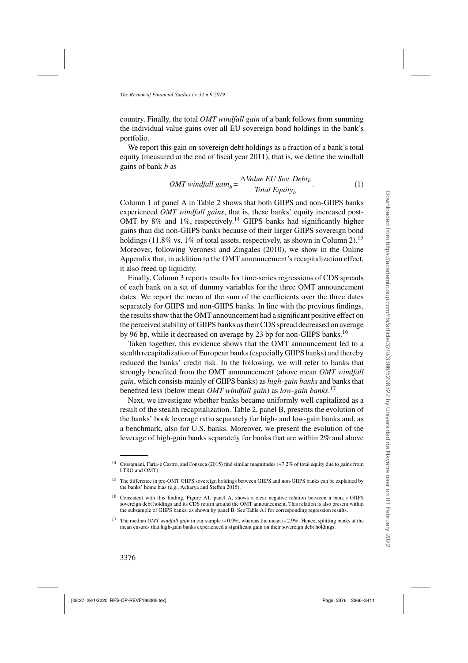<span id="page-10-0"></span>country. Finally, the total *OMT windfall gain* of a bank follows from summing the individual value gains over all EU sovereign bond holdings in the bank's portfolio.

We report this gain on sovereign debt holdings as a fraction of a bank's total equity (measured at the end of fiscal year 2011), that is, we define the windfall gains of bank *b* as

$$
OMT \text{ windfall gain}_b = \frac{\Delta Value \text{ EU Sov.} \text{ Debt}_b}{Total \text{ }Equity_b}.\tag{1}
$$

Column 1 of panel A in Table [2](#page-11-0) shows that both GIIPS and non-GIIPS banks experienced *OMT windfall gains*, that is, these banks' equity increased post-OMT by 8% and 1%, respectively.<sup>14</sup> GIIPS banks had significantly higher gains than did non-GIIPS banks because of their larger GIIPS sovereign bond holdings (11.8% vs. 1% of total assets, respectively, as shown in Column 2).<sup>15</sup> Moreover, following [Veronesi and Zingales](#page-45-0) [\(2010\)](#page-45-0), we show in the Online Appendix that, in addition to the OMT announcement's recapitalization effect, it also freed up liquidity.

Finally, Column 3 reports results for time-series regressions of CDS spreads of each bank on a set of dummy variables for the three OMT announcement dates. We report the mean of the sum of the coefficients over the three dates separately for GIIPS and non-GIIPS banks. In line with the previous findings, the results show that the OMT announcement had a significant positive effect on the perceived stability of GIIPS banks as their CDS spread decreased on average by 96 bp, while it decreased on average by 23 bp for non-GIIPS banks.<sup>16</sup>

Taken together, this evidence shows that the OMT announcement led to a stealth recapitalization of European banks (especially GIIPS banks) and thereby reduced the banks' credit risk. In the following, we will refer to banks that strongly benefited from the OMT announcement (above mean *OMT windfall gain*, which consists mainly of GIIPS banks) as *high-gain banks* and banks that benefited less (below mean *OMT windfall gain*) as *low-gain banks*. 17

Next, we investigate whether banks became uniformly well capitalized as a result of the stealth recapitalization. Table [2,](#page-11-0) panel B, presents the evolution of the banks' book leverage ratio separately for high- and low-gain banks and, as a benchmark, also for U.S. banks. Moreover, we present the evolution of the leverage of high-gain banks separately for banks that are within 2% and above

<sup>14</sup> [Crosignani, Faria-e Castro, and Fonseca](#page-44-0) [\(2015\)](#page-44-0) find similar magnitudes (+7.2% of total equity due to gains from LTRO and OMT).

<sup>&</sup>lt;sup>15</sup> The difference in pre-OMT GIIPS sovereign holdings between GIIPS and non-GIIPS banks can be explained by the banks' home bias (e.g., [Acharya and Steffen 2015\)](#page-43-0).

<sup>16</sup> Consistent with this finding, Figure A1, panel A, shows a clear negative relation between a bank's GIIPS sovereign debt holdings and its CDS return around the OMT announcement. This relation is also present within the subsample of GIIPS banks, as shown by panel B. See Table A1 for corresponding regression results.

<sup>17</sup> The median *OMT windfall gain* in our sample is 0.9%, whereas the mean is 2.9%. Hence, splitting banks at the mean ensures that high-gain banks experienced a significant gain on their sovereign debt holdings.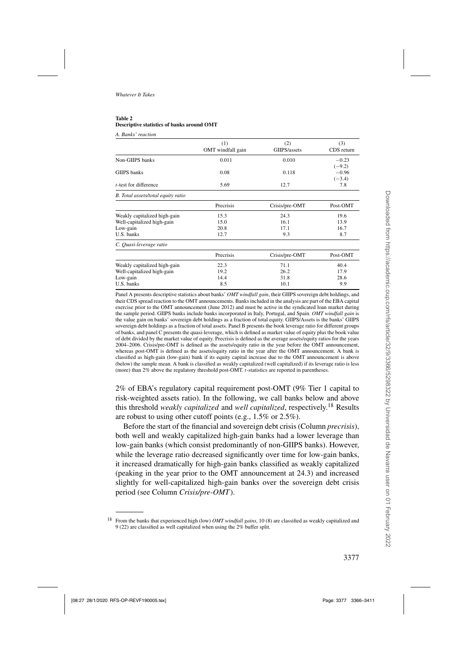## <span id="page-11-0"></span>**Table 2 Descriptive statistics of banks around OMT**

| A. Banks' reaction                 |                          |                              |                     |
|------------------------------------|--------------------------|------------------------------|---------------------|
|                                    | (1)<br>OMT windfall gain | (2)<br>GIIPS/assets          | (3)<br>CDS return   |
| Non-GIIPS banks                    | 0.011                    | 0.010<br>$-0.23$<br>$(-9.2)$ |                     |
| <b>GIIPS</b> banks                 | 0.08                     | 0.118                        | $-0.96$<br>$(-3.4)$ |
| $t$ -test for difference           | 5.69                     | 12.7                         | 7.8                 |
| B. Total assets/total equity ratio |                          |                              |                     |
|                                    | Precrisis                | Crisis/pre-OMT               | Post-OMT            |
| Weakly capitalized high-gain       | 15.3                     | 24.3                         | 19.6                |
| Well-capitalized high-gain         | 15.0                     | 16.1                         | 13.9                |
| Low-gain                           | 20.8                     | 17.1                         | 16.7                |
| U.S. banks                         | 12.7                     | 9.3                          | 8.7                 |
| C. Quasi-leverage ratio            |                          |                              |                     |
|                                    | Precrisis                | Crisis/pre-OMT               | Post-OMT            |
| Weakly capitalized high-gain       | 22.3                     | 71.1                         | 40.4                |
| Well-capitalized high-gain         | 19.2                     | 26.2                         | 17.9                |
| Low-gain                           | 14.4                     | 31.8                         | 28.6                |
| U.S. banks                         | 8.5                      | 10.1                         | 9.9                 |

Panel A presents descriptive statistics about banks' *OMT windfall gain*, their GIIPS sovereign debt holdings, and their CDS spread reaction to the OMT announcements. Banks included in the analysis are part of the EBA capital exercise prior to the OMT announcement (June 2012) and must be active in the syndicated loan market during the sample period. GIIPS banks include banks incorporated in Italy, Portugal, and Spain. *OMT windfall gain* is the value gain on banks' sovereign debt holdings as a fraction of total equity. GIIPS/Assets is the banks' GIIPS sovereign debt holdings as a fraction of total assets. Panel B presents the book leverage ratio for different groups of banks, and panel C presents the quasi-leverage, which is defined as market value of equity plus the book value of debt divided by the market value of equity. Precrisis is defined as the average assets/equity ratios for the years 2004–2006. Crisis/pre-OMT is defined as the assets/equity ratio in the year before the OMT announcement, whereas post-OMT is defined as the assets/equity ratio in the year after the OMT announcement. A bank is classified as high-gain (low-gain) bank if its equity capital increase due to the OMT announcement is above (below) the sample mean. A bank is classified as weakly capitalized (well capitalized) if its leverage ratio is less (more) than 2% above the regulatory threshold post-OMT. *<sup>t</sup>*-statistics are reported in parentheses.

2% of EBA's regulatory capital requirement post-OMT (9% Tier 1 capital to risk-weighted assets ratio). In the following, we call banks below and above this threshold *weakly capitalized* and *well capitalized*, respectively.<sup>18</sup> Results are robust to using other cutoff points (e.g., 1.5% or 2.5%).

Before the start of the financial and sovereign debt crisis (Column *precrisis*), both well and weakly capitalized high-gain banks had a lower leverage than low-gain banks (which consist predominantly of non-GIIPS banks). However, while the leverage ratio decreased significantly over time for low-gain banks, it increased dramatically for high-gain banks classified as weakly capitalized (peaking in the year prior to the OMT announcement at 24.3) and increased slightly for well-capitalized high-gain banks over the sovereign debt crisis period (see Column *Crisis/pre-OMT*).

<sup>18</sup> From the banks that experienced high (low) *OMT windfall gains*, 10 (8) are classified as weakly capitalized and 9 (22) are classified as well capitalized when using the 2% buffer split.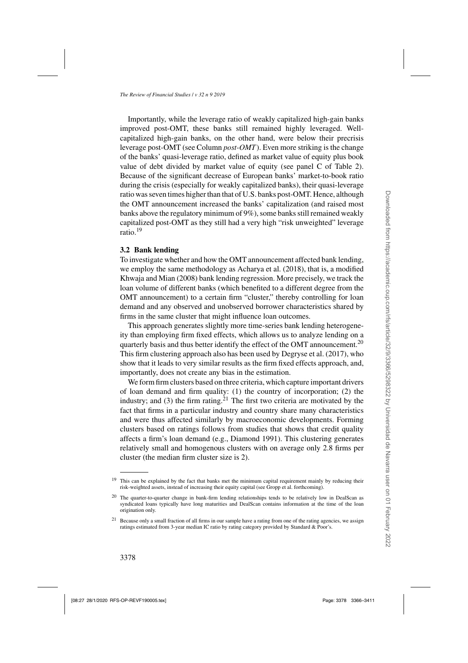<span id="page-12-0"></span>Importantly, while the leverage ratio of weakly capitalized high-gain banks improved post-OMT, these banks still remained highly leveraged. Wellcapitalized high-gain banks, on the other hand, were below their precrisis leverage post-OMT (see Column *post-OMT*). Even more striking is the change of the banks' quasi-leverage ratio, defined as market value of equity plus book value of debt divided by market value of equity (see panel C of Table [2\)](#page-11-0). Because of the significant decrease of European banks' market-to-book ratio during the crisis (especially for weakly capitalized banks), their quasi-leverage ratio was seven times higher than that of U.S. banks post-OMT. Hence, although the OMT announcement increased the banks' capitalization (and raised most banks above the regulatory minimum of 9%), some banks still remained weakly capitalized post-OMT as they still had a very high "risk unweighted" leverage ratio.<sup>19</sup>

# **3.2 Bank lending**

To investigate whether and how the OMT announcement affected bank lending, we employ the same methodology as [Acharya et al.](#page-43-0) [\(2018\)](#page-43-0), that is, a modified [Khwaja and Mian](#page-45-0) [\(2008\)](#page-45-0) bank lending regression. More precisely, we track the loan volume of different banks (which benefited to a different degree from the OMT announcement) to a certain firm "cluster," thereby controlling for loan demand and any observed and unobserved borrower characteristics shared by firms in the same cluster that might influence loan outcomes.

This approach generates slightly more time-series bank lending heterogeneity than employing firm fixed effects, which allows us to analyze lending on a quarterly basis and thus better identify the effect of the OMT announcement.<sup>20</sup> This firm clustering approach also has been used by [Degryse et al.](#page-44-0) [\(2017](#page-44-0)), who show that it leads to very similar results as the firm fixed effects approach, and, importantly, does not create any bias in the estimation.

We form firm clusters based on three criteria, which capture important drivers of loan demand and firm quality: (1) the country of incorporation; (2) the industry; and  $(3)$  the firm rating.<sup>21</sup> The first two criteria are motivated by the fact that firms in a particular industry and country share many characteristics and were thus affected similarly by macroeconomic developments. Forming clusters based on ratings follows from studies that shows that credit quality affects a firm's loan demand (e.g., [Diamond 1991\)](#page-44-0). This clustering generates relatively small and homogenous clusters with on average only 2.8 firms per cluster (the median firm cluster size is 2).

<sup>&</sup>lt;sup>19</sup> This can be explained by the fact that banks met the minimum capital requirement mainly by reducing their risk-weighted assets, instead of increasing their equity capital (see [Gropp et al. forthcoming](#page-44-0)).

<sup>20</sup> The quarter-to-quarter change in bank-firm lending relationships tends to be relatively low in DealScan as syndicated loans typically have long maturities and DealScan contains information at the time of the loan origination only.

<sup>21</sup> Because only a small fraction of all firms in our sample have a rating from one of the rating agencies, we assign ratings estimated from 3-year median IC ratio by rating category provided by Standard & Poor's.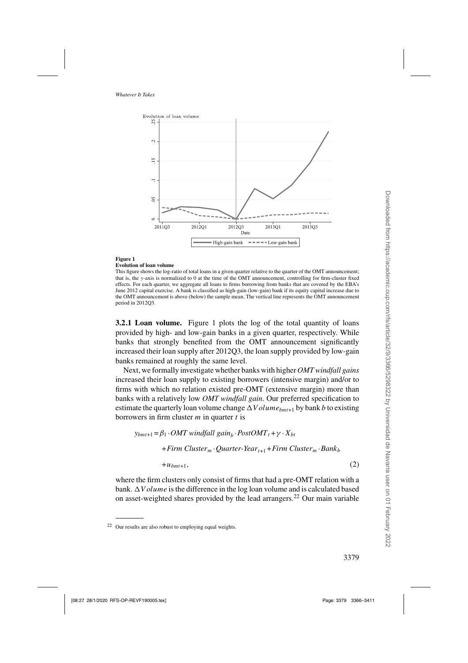<span id="page-13-0"></span>

#### **Figure 1**

#### **Evolution of loan volume**

This figure shows the log-ratio of total loans in a given quarter relative to the quarter of the OMT announcement; that is, the *<sup>y</sup>*-axis is normalized to 0 at the time of the OMT announcement, controlling for firm-cluster fixed effects. For each quarter, we aggregate all loans to firms borrowing from banks that are covered by the EBA's June 2012 capital exercise. A bank is classified as high-gain (low-gain) bank if its equity capital increase due to the OMT announcement is above (below) the sample mean. The vertical line represents the OMT announcement period in 2012Q3.

**3.2.1 Loan volume.** Figure 1 plots the log of the total quantity of loans provided by high- and low-gain banks in a given quarter, respectively. While banks that strongly benefited from the OMT announcement significantly increased their loan supply after 2012Q3, the loan supply provided by low-gain banks remained at roughly the same level.

Next, we formally investigate whether banks with higher *OMT windfall gains* increased their loan supply to existing borrowers (intensive margin) and/or to firms with which no relation existed pre-OMT (extensive margin) more than banks with a relatively low *OMT windfall gain*. Our preferred specification to estimate the quarterly loan volume change  $\Delta Volume_{bmt+1}$  by bank *b* to existing borrowers in firm cluster *m* in quarter *t* is borrowers in firm cluster *m* in quarter *t* is

$$
y_{bmt+1} = \beta_1 \cdot OMT \; windfall \; gain_b \cdot PostOMT_t + \gamma \cdot X_{bt}
$$
  
+ *Firm Cluster<sub>m</sub> \cdot Quarter-Year<sub>t+1</sub> + *Firm Cluster<sub>m</sub> \cdot Bank\_b*  
+  $u_{bmt+1}$ , (2)*

where the firm clusters only consist of firms that had a pre-OMT relation with a bank.  $\Delta Volume$  is the difference in the log loan volume and is calculated based on asset-weighted shares provided by the lead arrangers.<sup>22</sup> Our main variable

 $22$  Our results are also robust to employing equal weights.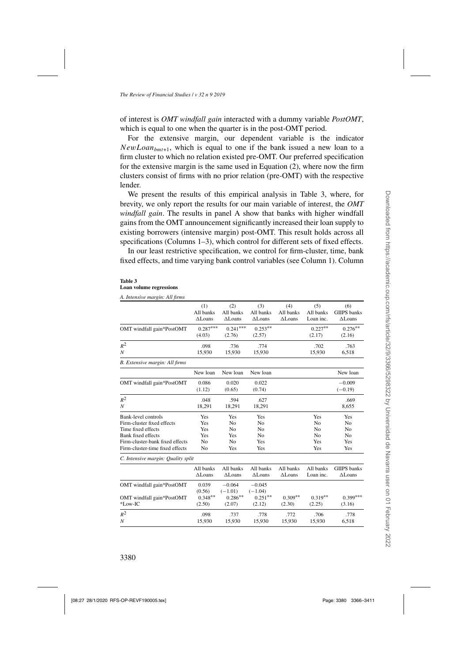<span id="page-14-0"></span>of interest is *OMT windfall gain* interacted with a dummy variable *PostOMT*, which is equal to one when the quarter is in the post-OMT period.

For the extensive margin, our dependent variable is the indicator  $New Loan_{bmt+1}$ , which is equal to one if the bank issued a new loan to a firm cluster to which no relation existed pre-OMT. Our preferred specification for the extensive margin is the same used in Equation [\(2\)](#page-13-0), where now the firm clusters consist of firms with no prior relation (pre-OMT) with the respective lender.

We present the results of this empirical analysis in Table 3, where, for brevity, we only report the results for our main variable of interest, the *OMT windfall gain*. The results in panel A show that banks with higher windfall gains from the OMT announcement significantly increased their loan supply to existing borrowers (intensive margin) post-OMT. This result holds across all specifications (Columns 1–3), which control for different sets of fixed effects.

In our least restrictive specification, we control for firm-cluster, time, bank fixed effects, and time varying bank control variables (see Column 1). Column

#### **Table 3 Loan volume regressions**

*A. Intensive margin: All firms*

| (1)<br>(2)<br>(3)<br>(4)<br>(5)<br>(6)<br>All banks<br>All banks<br>All banks<br>All banks<br>All banks<br>Loan inc.<br>$\Delta$ Loans<br>$\Delta$ Loans<br>$\Delta$ Loans<br>$\Delta$ Loans<br>$\Delta$ Loans<br>$0.287***$<br>$0.241***$<br>$0.253**$<br>$0.227**$<br>$0.276**$<br>OMT windfall gain*PostOMT<br>(4.03)<br>(2.17)<br>(2.76)<br>(2.57)<br>(2.16)<br>$R^2$<br>.098<br>.736<br>.774<br>.702<br>.763<br>15,930<br>15,930<br>6,518<br>15,930<br>15,930<br>N<br>B. Extensive margin: All firms<br>New loan<br>New loan<br>New loan<br>New loan<br>OMT windfall gain*PostOMT<br>0.086<br>0.020<br>0.022<br>$-0.009$<br>(1.12)<br>(0.65)<br>(0.74)<br>$(-0.19)$<br>$R^2$<br>.048<br>.594<br>.627<br>.669<br>18,291<br>$\boldsymbol{N}$<br>18,291<br>18,291<br>8,655<br>Bank-level controls<br>Yes<br>Yes<br>Yes<br>Yes<br>Yes<br>Firm-cluster fixed effects<br>N <sub>o</sub><br>No.<br>No.<br>Yes<br>N <sub>o</sub><br>Time fixed effects<br>N <sub>o</sub><br>N <sub>o</sub><br>N <sub>o</sub><br>Yes<br>No<br>Bank fixed effects<br>N <sub>o</sub><br>Yes<br>Yes<br>N <sub>o</sub><br>N <sub>o</sub><br>Firm-cluster-bank fixed effects<br>N <sub>o</sub><br>N <sub>o</sub><br>Yes<br>Yes<br>Yes<br>Firm-cluster-time fixed effects<br>Yes<br>N <sub>0</sub><br>Yes<br>Yes<br>Yes<br>C. Intensive margin: Quality split<br>All banks<br>All banks<br>All banks<br>All banks<br>All banks<br>$\Delta$ Loans<br>$\Delta$ Loans<br>$\Delta$ Loans<br>$\Delta$ Loans<br>Loan inc.<br>$\Delta$ Loans<br>OMT windfall gain*PostOMT<br>0.039<br>$-0.064$<br>$-0.045$<br>(0.56)<br>$(-1.04)$<br>$(-1.01)$<br>$0.286**$<br>$0.251***$<br>$0.348**$<br>$0.309**$<br>$0.319**$<br>OMT windfall gain*PostOMT<br>*Low-IC<br>(2.50)<br>(2.07)<br>(2.12)<br>(2.30)<br>(2.25)<br>(3.16)<br>$R^2$<br>.706<br>.098<br>.737<br>.778<br>.772<br>.778<br>15,930<br>15,930<br>15,930<br>15,930<br>6,518<br>N<br>15,930 |  |  |  |                    |
|--------------------------------------------------------------------------------------------------------------------------------------------------------------------------------------------------------------------------------------------------------------------------------------------------------------------------------------------------------------------------------------------------------------------------------------------------------------------------------------------------------------------------------------------------------------------------------------------------------------------------------------------------------------------------------------------------------------------------------------------------------------------------------------------------------------------------------------------------------------------------------------------------------------------------------------------------------------------------------------------------------------------------------------------------------------------------------------------------------------------------------------------------------------------------------------------------------------------------------------------------------------------------------------------------------------------------------------------------------------------------------------------------------------------------------------------------------------------------------------------------------------------------------------------------------------------------------------------------------------------------------------------------------------------------------------------------------------------------------------------------------------------------------------------------------------------------------------------------------------------------------------------------------------|--|--|--|--------------------|
|                                                                                                                                                                                                                                                                                                                                                                                                                                                                                                                                                                                                                                                                                                                                                                                                                                                                                                                                                                                                                                                                                                                                                                                                                                                                                                                                                                                                                                                                                                                                                                                                                                                                                                                                                                                                                                                                                                              |  |  |  | <b>GIIPS</b> banks |
|                                                                                                                                                                                                                                                                                                                                                                                                                                                                                                                                                                                                                                                                                                                                                                                                                                                                                                                                                                                                                                                                                                                                                                                                                                                                                                                                                                                                                                                                                                                                                                                                                                                                                                                                                                                                                                                                                                              |  |  |  |                    |
|                                                                                                                                                                                                                                                                                                                                                                                                                                                                                                                                                                                                                                                                                                                                                                                                                                                                                                                                                                                                                                                                                                                                                                                                                                                                                                                                                                                                                                                                                                                                                                                                                                                                                                                                                                                                                                                                                                              |  |  |  |                    |
|                                                                                                                                                                                                                                                                                                                                                                                                                                                                                                                                                                                                                                                                                                                                                                                                                                                                                                                                                                                                                                                                                                                                                                                                                                                                                                                                                                                                                                                                                                                                                                                                                                                                                                                                                                                                                                                                                                              |  |  |  |                    |
|                                                                                                                                                                                                                                                                                                                                                                                                                                                                                                                                                                                                                                                                                                                                                                                                                                                                                                                                                                                                                                                                                                                                                                                                                                                                                                                                                                                                                                                                                                                                                                                                                                                                                                                                                                                                                                                                                                              |  |  |  |                    |
|                                                                                                                                                                                                                                                                                                                                                                                                                                                                                                                                                                                                                                                                                                                                                                                                                                                                                                                                                                                                                                                                                                                                                                                                                                                                                                                                                                                                                                                                                                                                                                                                                                                                                                                                                                                                                                                                                                              |  |  |  |                    |
|                                                                                                                                                                                                                                                                                                                                                                                                                                                                                                                                                                                                                                                                                                                                                                                                                                                                                                                                                                                                                                                                                                                                                                                                                                                                                                                                                                                                                                                                                                                                                                                                                                                                                                                                                                                                                                                                                                              |  |  |  |                    |
|                                                                                                                                                                                                                                                                                                                                                                                                                                                                                                                                                                                                                                                                                                                                                                                                                                                                                                                                                                                                                                                                                                                                                                                                                                                                                                                                                                                                                                                                                                                                                                                                                                                                                                                                                                                                                                                                                                              |  |  |  |                    |
|                                                                                                                                                                                                                                                                                                                                                                                                                                                                                                                                                                                                                                                                                                                                                                                                                                                                                                                                                                                                                                                                                                                                                                                                                                                                                                                                                                                                                                                                                                                                                                                                                                                                                                                                                                                                                                                                                                              |  |  |  |                    |
|                                                                                                                                                                                                                                                                                                                                                                                                                                                                                                                                                                                                                                                                                                                                                                                                                                                                                                                                                                                                                                                                                                                                                                                                                                                                                                                                                                                                                                                                                                                                                                                                                                                                                                                                                                                                                                                                                                              |  |  |  | <b>GIIPS</b> banks |
|                                                                                                                                                                                                                                                                                                                                                                                                                                                                                                                                                                                                                                                                                                                                                                                                                                                                                                                                                                                                                                                                                                                                                                                                                                                                                                                                                                                                                                                                                                                                                                                                                                                                                                                                                                                                                                                                                                              |  |  |  | $0.399***$         |
|                                                                                                                                                                                                                                                                                                                                                                                                                                                                                                                                                                                                                                                                                                                                                                                                                                                                                                                                                                                                                                                                                                                                                                                                                                                                                                                                                                                                                                                                                                                                                                                                                                                                                                                                                                                                                                                                                                              |  |  |  |                    |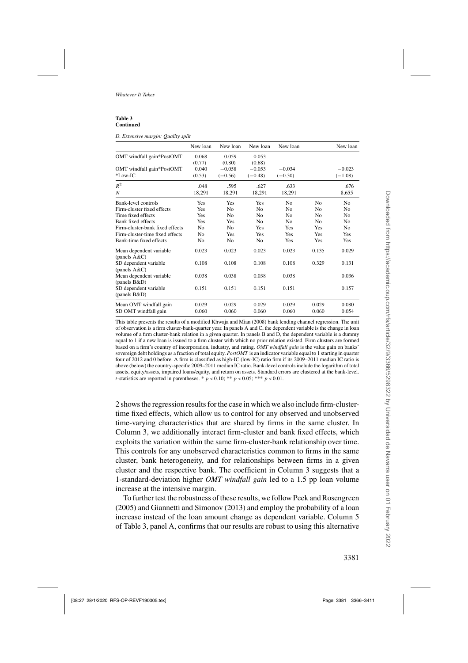#### **Table 3 Continued**

|  | D. Extensive margin: Quality split |  |  |  |
|--|------------------------------------|--|--|--|
|--|------------------------------------|--|--|--|

|                                            | New loan       | New loan       | New loan       | New loan       |                | New loan       |
|--------------------------------------------|----------------|----------------|----------------|----------------|----------------|----------------|
| OMT windfall gain*PostOMT                  | 0.068          | 0.059          | 0.053          |                |                |                |
|                                            | (0.77)         | (0.80)         | (0.68)         |                |                |                |
| OMT windfall gain*PostOMT                  | 0.040          | $-0.058$       | $-0.053$       | $-0.034$       |                | $-0.023$       |
| $*$ Low-IC                                 | (0.53)         | $(-0.56)$      | $(-0.48)$      | $(-0.30)$      |                | $(-1.08)$      |
| $R^2$                                      | .048           | .595           | .627           | .633           |                | .676           |
| N                                          | 18,291         | 18,291         | 18,291         | 18,291         |                | 8,655          |
| Bank-level controls                        | <b>Yes</b>     | Yes            | Yes            | N <sub>0</sub> | N <sub>0</sub> | N <sub>0</sub> |
| Firm-cluster fixed effects                 | Yes            | N <sub>0</sub> | N <sub>o</sub> | No             | No             | No             |
| Time fixed effects                         | Yes            | N <sub>0</sub> | N <sub>o</sub> | N <sub>0</sub> | No             | No.            |
| Bank fixed effects                         | Yes            | Yes            | N <sub>o</sub> | N <sub>o</sub> | No             | No.            |
| Firm-cluster-bank fixed effects            | No             | N <sub>0</sub> | Yes            | Yes            | Yes            | N <sub>0</sub> |
| Firm-cluster-time fixed effects            | N <sub>o</sub> | Yes            | Yes            | Yes            | Yes            | Yes            |
| Bank-time fixed effects                    | N <sub>o</sub> | N <sub>0</sub> | N <sub>o</sub> | Yes            | Yes            | Yes            |
| Mean dependent variable<br>(panels $A&C$ ) | 0.023          | 0.023          | 0.023          | 0.023          | 0.135          | 0.029          |
| SD dependent variable<br>(panels $A&C$ )   | 0.108          | 0.108          | 0.108          | 0.108          | 0.329          | 0.131          |
| Mean dependent variable<br>(panels B&D)    | 0.038          | 0.038          | 0.038          | 0.038          |                | 0.036          |
| SD dependent variable<br>(panels B&D)      | 0.151          | 0.151          | 0.151          | 0.151          |                | 0.157          |
| Mean OMT windfall gain                     | 0.029          | 0.029          | 0.029          | 0.029          | 0.029          | 0.080          |
| SD OMT windfall gain                       | 0.060          | 0.060          | 0.060          | 0.060          | 0.060          | 0.054          |

This table presents the results of a modified Khwaja and Mian (2008) bank lending channel regression. The unit of observation is a firm cluster-bank-quarter year. In panels A and C, the dependent variable is the change in loan volume of a firm cluster-bank relation in a given quarter. In panels B and D, the dependent variable is a dummy equal to 1 if a new loan is issued to a firm cluster with which no prior relation existed. Firm clusters are formed based on a firm's country of incorporation, industry, and rating. *OMT windfall gain* is the value gain on banks' sovereign debt holdings as a fraction of total equity. *PostOMT* is an indicator variable equal to 1 starting in quarter four of 2012 and 0 before. A firm is classified as high-IC (low-IC) ratio firm if its 2009–2011 median IC ratio is above (below) the country-specific 2009–2011 median IC ratio. Bank-level controls include the logarithm of total assets, equity/assets, impaired loans/equity, and return on assets. Standard errors are clustered at the bank-level. *t*-statistics are reported in parentheses. \*  $p < 0.10$ ; \*\*  $p < 0.05$ ; \*\*\*  $p < 0.01$ .

2 shows the regression results for the case in which we also include firm-clustertime fixed effects, which allow us to control for any observed and unobserved time-varying characteristics that are shared by firms in the same cluster. In Column 3, we additionally interact firm-cluster and bank fixed effects, which exploits the variation within the same firm-cluster-bank relationship over time. This controls for any unobserved characteristics common to firms in the same cluster, bank heterogeneity, and for relationships between firms in a given cluster and the respective bank. The coefficient in Column 3 suggests that a 1-standard-deviation higher *OMT windfall gain* led to a 1.5 pp loan volume increase at the intensive margin.

To further test the robustness of these results, we follow [Peek and Rosengreen](#page-45-0) [\(2005\)](#page-45-0) and [Giannetti and Simonov](#page-44-0) [\(2013\)](#page-44-0) and employ the probability of a loan increase instead of the loan amount change as dependent variable. Column 5 of Table [3,](#page-14-0) panel A, confirms that our results are robust to using this alternative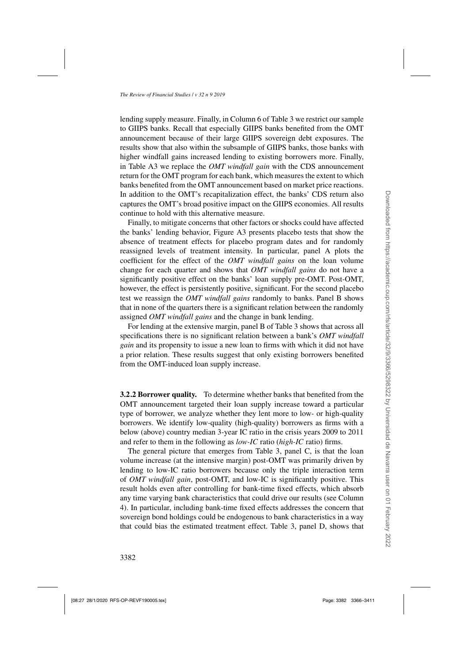lending supply measure. Finally, in Column 6 of Table [3](#page-14-0) we restrict our sample to GIIPS banks. Recall that especially GIIPS banks benefited from the OMT announcement because of their large GIIPS sovereign debt exposures. The results show that also within the subsample of GIIPS banks, those banks with higher windfall gains increased lending to existing borrowers more. Finally, in Table A3 we replace the *OMT windfall gain* with the CDS announcement return for the OMT program for each bank, which measures the extent to which banks benefited from the OMT announcement based on market price reactions. In addition to the OMT's recapitalization effect, the banks' CDS return also captures the OMT's broad positive impact on the GIIPS economies. All results continue to hold with this alternative measure.

Finally, to mitigate concerns that other factors or shocks could have affected the banks' lending behavior, Figure A3 presents placebo tests that show the absence of treatment effects for placebo program dates and for randomly reassigned levels of treatment intensity. In particular, panel A plots the coefficient for the effect of the *OMT windfall gains* on the loan volume change for each quarter and shows that *OMT windfall gains* do not have a significantly positive effect on the banks' loan supply pre-OMT. Post-OMT, however, the effect is persistently positive, significant. For the second placebo test we reassign the *OMT windfall gains* randomly to banks. Panel B shows that in none of the quarters there is a significant relation between the randomly assigned *OMT windfall gains* and the change in bank lending.

For lending at the extensive margin, panel B of Table [3](#page-14-0) shows that across all specifications there is no significant relation between a bank's *OMT windfall gain* and its propensity to issue a new loan to firms with which it did not have a prior relation. These results suggest that only existing borrowers benefited from the OMT-induced loan supply increase.

**3.2.2 Borrower quality.** To determine whether banks that benefited from the OMT announcement targeted their loan supply increase toward a particular type of borrower, we analyze whether they lent more to low- or high-quality borrowers. We identify low-quality (high-quality) borrowers as firms with a below (above) country median 3-year IC ratio in the crisis years 2009 to 2011 and refer to them in the following as *low-IC* ratio (*high-IC* ratio) firms.

The general picture that emerges from Table [3,](#page-14-0) panel C, is that the loan volume increase (at the intensive margin) post-OMT was primarily driven by lending to low-IC ratio borrowers because only the triple interaction term of *OMT windfall gain*, post-OMT, and low-IC is significantly positive. This result holds even after controlling for bank-time fixed effects, which absorb any time varying bank characteristics that could drive our results (see Column 4). In particular, including bank-time fixed effects addresses the concern that sovereign bond holdings could be endogenous to bank characteristics in a way that could bias the estimated treatment effect. Table [3,](#page-14-0) panel D, shows that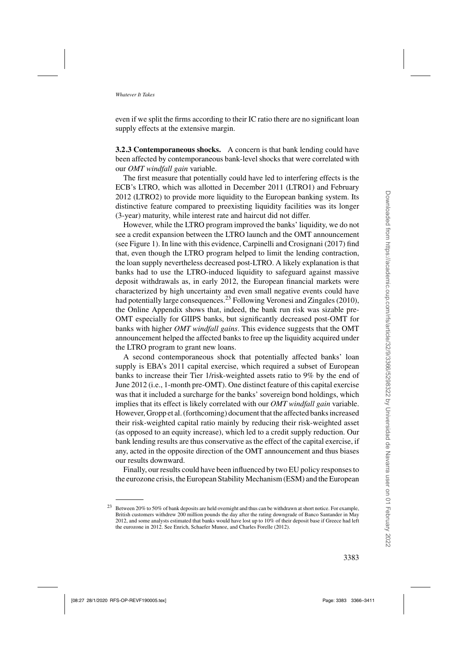even if we split the firms according to their IC ratio there are no significant loan supply effects at the extensive margin.

**3.2.3 Contemporaneous shocks.** A concern is that bank lending could have been affected by contemporaneous bank-level shocks that were correlated with our *OMT windfall gain* variable.

The first measure that potentially could have led to interfering effects is the ECB's LTRO, which was allotted in December 2011 (LTRO1) and February 2012 (LTRO2) to provide more liquidity to the European banking system. Its distinctive feature compared to preexisting liquidity facilities was its longer (3-year) maturity, while interest rate and haircut did not differ.

However, while the LTRO program improved the banks' liquidity, we do not see a credit expansion between the LTRO launch and the OMT announcement (see Figure [1\)](#page-13-0). In line with this evidence, [Carpinelli and Crosignani](#page-43-0) [\(2017\)](#page-43-0) find that, even though the LTRO program helped to limit the lending contraction, the loan supply nevertheless decreased post-LTRO. A likely explanation is that banks had to use the LTRO-induced liquidity to safeguard against massive deposit withdrawals as, in early 2012, the European financial markets were characterized by high uncertainty and even small negative events could have had potentially large consequences.<sup>23</sup> Following [Veronesi and Zingales](#page-45-0) [\(2010\)](#page-45-0), the Online Appendix shows that, indeed, the bank run risk was sizable pre-OMT especially for GIIPS banks, but significantly decreased post-OMT for banks with higher *OMT windfall gains*. This evidence suggests that the OMT announcement helped the affected banks to free up the liquidity acquired under the LTRO program to grant new loans.

A second contemporaneous shock that potentially affected banks' loan supply is EBA's 2011 capital exercise, which required a subset of European banks to increase their Tier 1/risk-weighted assets ratio to 9% by the end of June 2012 (i.e., 1-month pre-OMT). One distinct feature of this capital exercise was that it included a surcharge for the banks' sovereign bond holdings, which implies that its effect is likely correlated with our *OMT windfall gain* variable. However, [Gropp et al.](#page-44-0) [\(forthcoming](#page-44-0)) document that the affected banks increased their risk-weighted capital ratio mainly by reducing their risk-weighted asset (as opposed to an equity increase), which led to a credit supply reduction. Our bank lending results are thus conservative as the effect of the capital exercise, if any, acted in the opposite direction of the OMT announcement and thus biases our results downward.

Finally, our results could have been influenced by two EU policy responses to the eurozone crisis, the European Stability Mechanism (ESM) and the European

<sup>&</sup>lt;sup>23</sup> Between 20% to 50% of bank deposits are held overnight and thus can be withdrawn at short notice. For example, British customers withdrew 200 million pounds the day after the rating downgrade of Banco Santander in May 2012, and some analysts estimated that banks would have lost up to 10% of their deposit base if Greece had left the eurozone in 2012. See [Enrich, Schaefer Munoz, and Charles Forelle](#page-45-0) [\(2012\)](#page-45-0).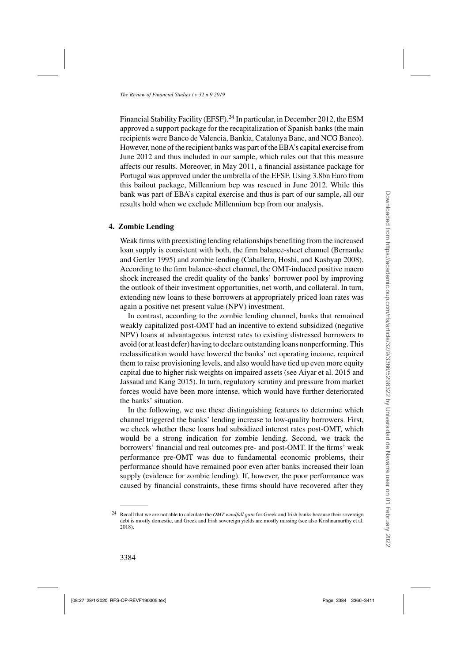Financial Stability Facility (EFSF).<sup>24</sup> In particular, in December 2012, the ESM approved a support package for the recapitalization of Spanish banks (the main recipients were Banco de Valencia, Bankia, Catalunya Banc, and NCG Banco). However, none of the recipient banks was part of the EBA's capital exercise from June 2012 and thus included in our sample, which rules out that this measure affects our results. Moreover, in May 2011, a financial assistance package for Portugal was approved under the umbrella of the EFSF. Using 3.8bn Euro from this bailout package, Millennium bcp was rescued in June 2012. While this bank was part of EBA's capital exercise and thus is part of our sample, all our results hold when we exclude Millennium bcp from our analysis.

# **4. Zombie Lending**

Weak firms with preexisting lending relationships benefiting from the increased loan suppl[y is consistent with both, the firm balance-sheet channel \(](#page-43-0)Bernanke and Gertler [1995\)](#page-43-0) and zombie lending [\(Caballero, Hoshi, and Kashyap 2008](#page-43-0)). According to the firm balance-sheet channel, the OMT-induced positive macro shock increased the credit quality of the banks' borrower pool by improving the outlook of their investment opportunities, net worth, and collateral. In turn, extending new loans to these borrowers at appropriately priced loan rates was again a positive net present value (NPV) investment.

In contrast, according to the zombie lending channel, banks that remained weakly capitalized post-OMT had an incentive to extend subsidized (negative NPV) loans at advantageous interest rates to existing distressed borrowers to avoid (or at least defer) having to declare outstanding loans nonperforming. This reclassification would have lowered the banks' net operating income, required them to raise provisioning levels, and also would have tied up even more equity capital due to higher risk weights on impaired assets (see [Aiyar et al. 2015](#page-43-0) and [Jassaud and Kang 2015](#page-44-0)). In turn, regulatory scrutiny and pressure from market forces would have been more intense, which would have further deteriorated the banks' situation.

In the following, we use these distinguishing features to determine which channel triggered the banks' lending increase to low-quality borrowers. First, we check whether these loans had subsidized interest rates post-OMT, which would be a strong indication for zombie lending. Second, we track the borrowers' financial and real outcomes pre- and post-OMT. If the firms' weak performance pre-OMT was due to fundamental economic problems, their performance should have remained poor even after banks increased their loan supply (evidence for zombie lending). If, however, the poor performance was caused by financial constraints, these firms should have recovered after they

<sup>24</sup> Recall that we are not able to calculate the *OMT windfall gain* for Greek and Irish banks because their sovereign debt is mostly domestic, and Greek and Irish sovereign yields are mostly missing (see also [Krishnamurthy et al.](#page-45-0) [2018](#page-45-0)).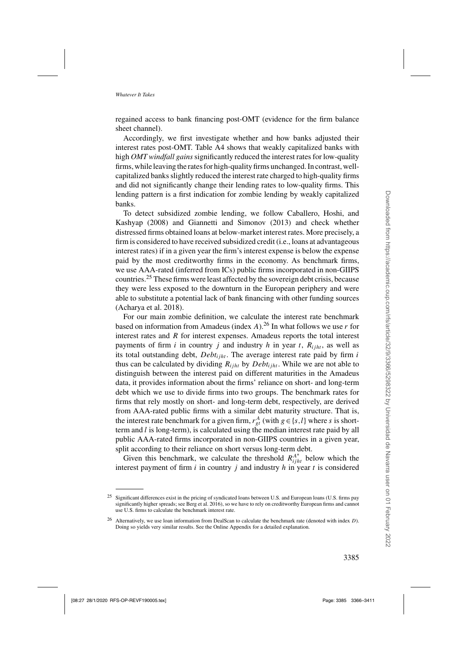regained access to bank financing post-OMT (evidence for the firm balance sheet channel).

Accordingly, we first investigate whether and how banks adjusted their interest rates post-OMT. Table A4 shows that weakly capitalized banks with high *OMT windfall gains*significantly reduced the interest rates for low-quality firms, while leaving the rates for high-quality firms unchanged. In contrast, wellcapitalized banks slightly reduced the interest rate charged to high-quality firms and did not significantly change their lending rates to low-quality firms. This lending pattern is a first indication for zombie lending by weakly capitalized banks.

To d[etect subsidized zombie lending, we follow](#page-43-0) Caballero, Hoshi, and Kashyap [\(2008](#page-43-0)) and [Giannetti and Simonov](#page-44-0) [\(2013\)](#page-44-0) and check whether distressed firms obtained loans at below-market interest rates. More precisely, a firm is considered to have received subsidized credit (i.e., loans at advantageous interest rates) if in a given year the firm's interest expense is below the expense paid by the most creditworthy firms in the economy. As benchmark firms, we use AAA-rated (inferred from ICs) public firms incorporated in non-GIIPS countries.<sup>25</sup> These firms were least affected by the sovereign debt crisis, because they were less exposed to the downturn in the European periphery and were able to substitute a potential lack of bank financing with other funding sources [\(Acharya et al. 2018\)](#page-43-0).

For our main zombie definition, we calculate the interest rate benchmark based on information from Amadeus (index  $A$ ).<sup>26</sup> In what follows we use  $r$  for interest rates and *R* for interest expenses. Amadeus reports the total interest payments of firm *i* in country *j* and industry *h* in year *t*,  $R_{i}$ <sub>*iht*</sub>, as well as its total outstanding debt, *Debt<sub>ijht</sub>*. The average interest rate paid by firm *i* thus can be calculated by dividing  $R_{i}$  by  $Debt_{i}$ . While we are not able to distinguish between the interest paid on different maturities in the Amadeus data, it provides information about the firms' reliance on short- and long-term debt which we use to divide firms into two groups. The benchmark rates for firms that rely mostly on short- and long-term debt, respectively, are derived from AAA-rated public firms with a similar debt maturity structure. That is, the interest rate benchmark for a given firm,  $r_{gt}^A$  (with  $g \in \{s, l\}$ ) where *s* is short-<br>term and *l* is long-term) is calculated using the median interest rate paid by all term and *l* is long-term), is calculated using the median interest rate paid by all public AAA-rated firms incorporated in non-GIIPS countries in a given year, split according to their reliance on short versus long-term debt.

Given this benchmark, we calculate the threshold  $R_{ijht}^{A^*}$  below which the erest payment of firm *i* in country *i* and industry *h* in year *t* is considered interest payment of firm *i* in country *j* and industry *h* in year *t* is considered

<sup>25</sup> Significant differences exist in the pricing of syndicated loans between U.S. and European loans (U.S. firms pay significantly higher spreads; see [Berg et al. 2016](#page-43-0)), so we have to rely on creditworthy European firms and cannot use U.S. firms to calculate the benchmark interest rate.

<sup>26</sup> Alternatively, we use loan information from DealScan to calculate the benchmark rate (denoted with index *D*). Doing so yields very similar results. See the Online Appendix for a detailed explanation.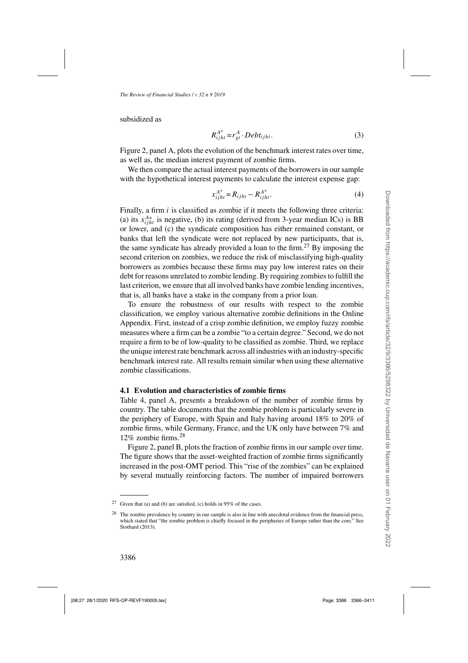subsidized as

$$
R_{ijht}^{A^*} = r_{gt}^A \cdot Debt_{ijht}.
$$
 (3)

Figure [2,](#page-21-0) panel A, plots the evolution of the benchmark interest rates over time, as well as, the median interest payment of zombie firms.

We then compare the actual interest payments of the borrowers in our sample with the hypothetical interest payments to calculate the interest expense gap:

$$
x_{ijht}^{A^*} = R_{ijht} - R_{ijht}^{A^*}.
$$
\n<sup>(4)</sup>

Finally, a firm *i* is classified as zombie if it meets the following three criteria: (a) its  $x_{ijh}^{A*}$  is negative, (b) its rating (derived from 3-year median ICs) is BB or lower and  $(c)$  the syndicate composition has either remained constant or or lower, and (c) the syndicate composition has either remained constant, or banks that left the syndicate were not replaced by new participants, that is, the same syndicate has already provided a loan to the firm.<sup>27</sup> By imposing the second criterion on zombies, we reduce the risk of misclassifying high-quality borrowers as zombies because these firms may pay low interest rates on their debt for reasons unrelated to zombie lending. By requiring zombies to fulfill the last criterion, we ensure that all involved banks have zombie lending incentives, that is, all banks have a stake in the company from a prior loan.

To ensure the robustness of our results with respect to the zombie classification, we employ various alternative zombie definitions in the Online Appendix. First, instead of a crisp zombie definition, we employ fuzzy zombie measures where a firm can be a zombie "to a certain degree." Second, we do not require a firm to be of low-quality to be classified as zombie. Third, we replace the unique interest rate benchmark across all industries with an industry-specific benchmark interest rate. All results remain similar when using these alternative zombie classifications.

# **4.1 Evolution and characteristics of zombie firms**

Table [4,](#page-22-0) panel A, presents a breakdown of the number of zombie firms by country. The table documents that the zombie problem is particularly severe in the periphery of Europe, with Spain and Italy having around 18% to 20% of zombie firms, while Germany, France, and the UK only have between 7% and 12% zombie firms.<sup>28</sup>

Figure [2,](#page-21-0) panel B, plots the fraction of zombie firms in our sample over time. The figure shows that the asset-weighted fraction of zombie firms significantly increased in the post-OMT period. This "rise of the zombies" can be explained by several mutually reinforcing factors. The number of impaired borrowers

<sup>&</sup>lt;sup>27</sup> Given that (a) and (b) are satisfied, (c) holds in 95% of the cases.

<sup>&</sup>lt;sup>28</sup> The zombie prevalence by country in our sample is also in line with anecdotal evidence from the financial press, which stated that "the zombie problem is chiefly focused in the peripheries of Europe rather than the core." See [Stothard](#page-45-0) [\(2013](#page-45-0)).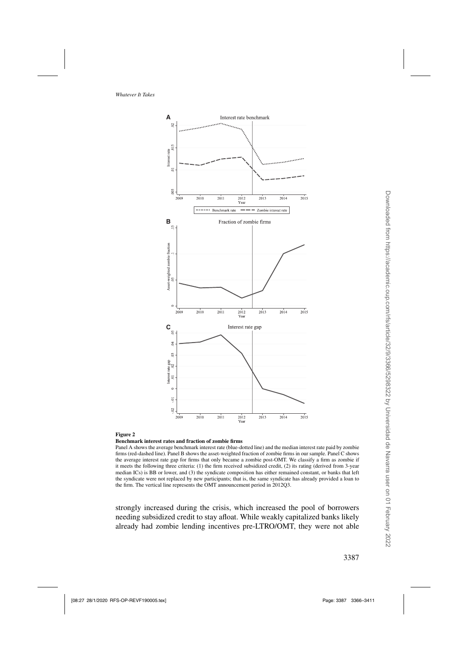<span id="page-21-0"></span>

#### **Figure 2**

#### **Benchmark interest rates and fraction of zombie firms**

Panel A shows the average benchmark interest rate (blue-dotted line) and the median interest rate paid by zombie firms (red-dashed line). Panel B shows the asset-weighted fraction of zombie firms in our sample. Panel C shows the average interest rate gap for firms that only became a zombie post-OMT. We classify a firm as zombie if it meets the following three criteria: (1) the firm received subsidized credit, (2) its rating (derived from 3-year median ICs) is BB or lower, and (3) the syndicate composition has either remained constant, or banks that left the syndicate were not replaced by new participants; that is, the same syndicate has already provided a loan to the firm. The vertical line represents the OMT announcement period in 2012Q3.

strongly increased during the crisis, which increased the pool of borrowers needing subsidized credit to stay afloat. While weakly capitalized banks likely already had zombie lending incentives pre-LTRO/OMT, they were not able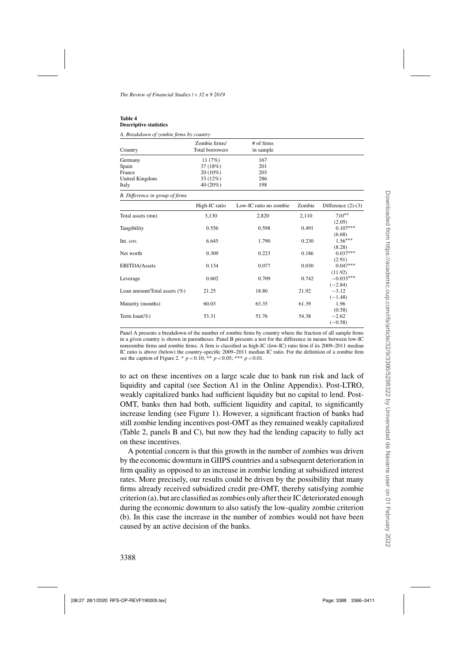### <span id="page-22-0"></span>**Table 4 Descriptive statistics**

*A. Breakdown of zombie firms by country*

| Country        | Zombie firms/<br>Total borrowers | # of firms<br>in sample |  |
|----------------|----------------------------------|-------------------------|--|
| Germany        | 11 $(7%)$                        | 167                     |  |
| Spain          | 37(18%)                          | 201                     |  |
| France         | $20(10\%)$                       | 203                     |  |
| United Kingdom | $33(12\%)$                       | 286                     |  |
| Italy          | $40(20\%)$                       | 198                     |  |

*B. Difference in group of firms*

|                                 | High-IC ratio | Low-IC ratio no zombie | Zombie | Difference $(2)-(3)$           |
|---------------------------------|---------------|------------------------|--------|--------------------------------|
| Total assets (mn)               | 3,130         | 2,820                  | 2,110  | $710**$                        |
| Tangibility                     | 0.556         | 0.598                  | 0.491  | (2.05)<br>$0.107***$           |
| Int. cov.                       | 6.645         | 1.790                  | 0.230  | (6.68)<br>$1.56***$            |
| Net worth                       | 0.309         | 0.223                  | 0.186  | (8.28)<br>$0.037***$           |
| <b>EBITDA/Assets</b>            | 0.134         | 0.077                  | 0.030  | (2.91)<br>$0.047***$           |
| Leverage                        | 0.602         | 0.709                  | 0.742  | (11.92)<br>$-0.033***$         |
| Loan amount/Total assets $(\%)$ | 21.25         | 18.80                  | 21.92  | $(-2.84)$<br>$-3.12$           |
| Maturity (months)               | 60.03         | 63.35                  | 61.39  | $(-1.48)$<br>1.96              |
| Term $\text{loan}(\%)$          | 53.31         | 51.76                  | 54.38  | (0.58)<br>$-2.62$<br>$(-0.58)$ |

Panel A presents a breakdown of the number of zombie firms by country where the fraction of all sample firms in a given country is shown in parentheses. Panel B presents a test for the difference in means between low-IC nonzombie firms and zombie firms. A firm is classified as high-IC (low-IC) ratio firm if its 2009–2011 median IC ratio is above (below) the country-specific 2009–2011 median IC ratio. For the definition of a zombie firm see the caption of Figure [2.](#page-21-0) \*  $p < 0.10$ ; \*\*  $p < 0.05$ ; \*\*\*  $p < 0.01$ .

to act on these incentives on a large scale due to bank run risk and lack of liquidity and capital (see Section A1 in the Online Appendix). Post-LTRO, weakly capitalized banks had sufficient liquidity but no capital to lend. Post-OMT, banks then had both, sufficient liquidity and capital, to significantly increase lending (see Figure [1\)](#page-13-0). However, a significant fraction of banks had still zombie lending incentives post-OMT as they remained weakly capitalized (Table [2,](#page-11-0) panels B and C), but now they had the lending capacity to fully act on these incentives.

A potential concern is that this growth in the number of zombies was driven by the economic downturn in GIIPS countries and a subsequent deterioration in firm quality as opposed to an increase in zombie lending at subsidized interest rates. More precisely, our results could be driven by the possibility that many firms already received subsidized credit pre-OMT, thereby satisfying zombie criterion (a), but are classified as zombies only after their IC deteriorated enough during the economic downturn to also satisfy the low-quality zombie criterion (b). In this case the increase in the number of zombies would not have been caused by an active decision of the banks.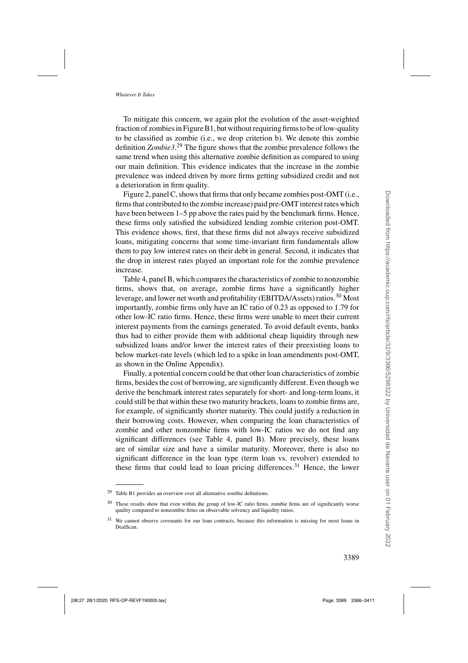To mitigate this concern, we again plot the evolution of the asset-weighted fraction of zombies in Figure B1, but without requiring firms to be of low-quality to be classified as zombie (i.e., we drop criterion b). We denote this zombie definition *Zombie3*. <sup>29</sup> The figure shows that the zombie prevalence follows the same trend when using this alternative zombie definition as compared to using our main definition. This evidence indicates that the increase in the zombie prevalence was indeed driven by more firms getting subsidized credit and not a deterioration in firm quality.

Figure [2,](#page-21-0) panel C, shows that firms that only became zombies post-OMT (i.e., firms that contributed to the zombie increase) paid pre-OMT interest rates which have been between 1–5 pp above the rates paid by the benchmark firms. Hence, these firms only satisfied the subsidized lending zombie criterion post-OMT. This evidence shows, first, that these firms did not always receive subsidized loans, mitigating concerns that some time-invariant firm fundamentals allow them to pay low interest rates on their debt in general. Second, it indicates that the drop in interest rates played an important role for the zombie prevalence increase.

Table [4,](#page-22-0) panel B, which compares the characteristics of zombie to nonzombie firms, shows that, on average, zombie firms have a significantly higher leverage, and lower net worth and profitability (EBITDA/Assets) ratios.<sup>30</sup> Most importantly, zombie firms only have an IC ratio of 0.23 as opposed to 1.79 for other low-IC ratio firms. Hence, these firms were unable to meet their current interest payments from the earnings generated. To avoid default events, banks thus had to either provide them with additional cheap liquidity through new subsidized loans and/or lower the interest rates of their preexisting loans to below market-rate levels (which led to a spike in loan amendments post-OMT, as shown in the Online Appendix).

Finally, a potential concern could be that other loan characteristics of zombie firms, besides the cost of borrowing, are significantly different. Even though we derive the benchmark interest rates separately for short- and long-term loans, it could still be that within these two maturity brackets, loans to zombie firms are, for example, of significantly shorter maturity. This could justify a reduction in their borrowing costs. However, when comparing the loan characteristics of zombie and other nonzombie firms with low-IC ratios we do not find any significant differences (see Table [4,](#page-22-0) panel B). More precisely, these loans are of similar size and have a similar maturity. Moreover, there is also no significant difference in the loan type (term loan vs. revolver) extended to these firms that could lead to loan pricing differences.<sup>31</sup> Hence, the lower

 $29$  Table B1 provides an overview over all alternative zombie definitions.

These results show that even within the group of low-IC ratio firms, zombie firms are of significantly worse quality compared to nonzombie firms on observable solvency and liquidity ratios.

<sup>31</sup> We cannot observe covenants for our loan contracts, because this information is missing for most loans in DealScan.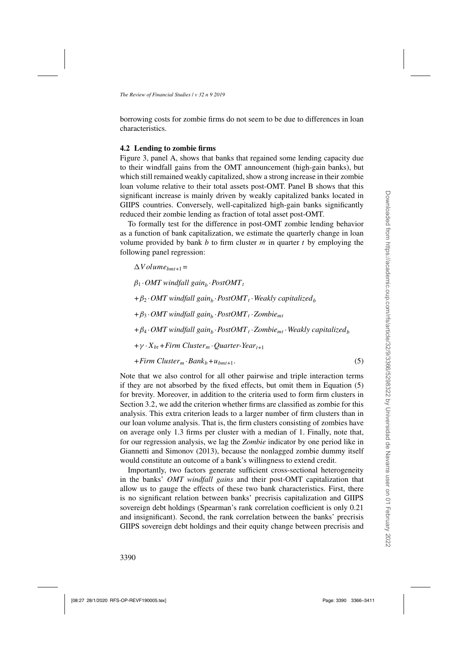borrowing costs for zombie firms do not seem to be due to differences in loan characteristics.

## **4.2 Lending to zombie firms**

Figure [3,](#page-25-0) panel A, shows that banks that regained some lending capacity due to their windfall gains from the OMT announcement (high-gain banks), but which still remained weakly capitalized, show a strong increase in their zombie loan volume relative to their total assets post-OMT. Panel B shows that this significant increase is mainly driven by weakly capitalized banks located in GIIPS countries. Conversely, well-capitalized high-gain banks significantly reduced their zombie lending as fraction of total asset post-OMT.

To formally test for the difference in post-OMT zombie lending behavior as a function of bank capitalization, we estimate the quarterly change in loan volume provided by bank *b* to firm cluster *m* in quarter *t* by employing the following panel regression:

 $\Delta Volume_{bmt+1} =$ 

 $\beta_1 \cdot OMT$  windfall gain<sub>b</sub> · PostOMT<sub>t</sub>

<sup>+</sup>*β*<sup>2</sup> ·*OMT windfall gainb* ·*PostOMT<sup>t</sup>* ·*Weakly capitalizedb*

<sup>+</sup>*β*<sup>3</sup> ·*OMT windfall gainb* ·*PostOMT<sup>t</sup>* ·*Zombiemt*

<sup>+</sup>*β*<sup>4</sup> ·*OMT windfall gainb* ·*PostOMT<sup>t</sup>* ·*Zombiemt* ·*Weakly capitalizedb*

 $+\gamma \cdot X_{bt} + Firm Cluster_m \cdot Quarterly_{t+1}$ 

 $+Firm \; Cluster_m \cdot Bank_b + u_{bmt+1}.$  (5)

Note that we also control for all other pairwise and triple interaction terms if they are not absorbed by the fixed effects, but omit them in Equation (5) for brevity. Moreover, in addition to the criteria used to form firm clusters in Section [3.2,](#page-12-0) we add the criterion whether firms are classified as zombie for this analysis. This extra criterion leads to a larger number of firm clusters than in our loan volume analysis. That is, the firm clusters consisting of zombies have on average only 1.3 firms per cluster with a median of 1. Finally, note that, for our regression analysis, we lag the *Zombie* indicator by one period like in [Giannetti and Simonov](#page-44-0) [\(2013](#page-44-0)), because the nonlagged zombie dummy itself would constitute an outcome of a bank's willingness to extend credit.

Importantly, two factors generate sufficient cross-sectional heterogeneity in the banks' *OMT windfall gains* and their post-OMT capitalization that allow us to gauge the effects of these two bank characteristics. First, there is no significant relation between banks' precrisis capitalization and GIIPS sovereign debt holdings (Spearman's rank correlation coefficient is only 0.21 and insignificant). Second, the rank correlation between the banks' precrisis GIIPS sovereign debt holdings and their equity change between precrisis and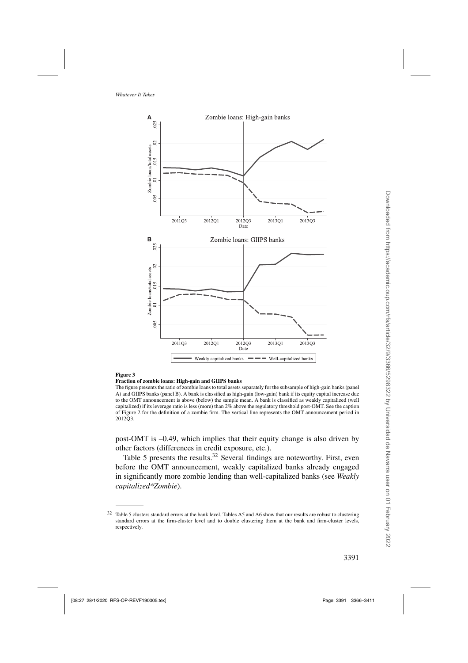<span id="page-25-0"></span>

**Figure 3**

#### **Fraction of zombie loans: High-gain and GIIPS banks**

The figure presents the ratio of zombie loans to total assets separately for the subsample of high-gain banks (panel A) and GIIPS banks (panel B). A bank is classified as high-gain (low-gain) bank if its equity capital increase due to the OMT announcement is above (below) the sample mean. A bank is classified as weakly capitalized (well capitalized) if its leverage ratio is less (more) than 2% above the regulatory threshold post-OMT. See the caption of Figure [2](#page-21-0) for the definition of a zombie firm. The vertical line represents the OMT announcement period in 2012Q3.

post-OMT is –0.49, which implies that their equity change is also driven by other factors (differences in credit exposure, etc.).

Table [5](#page-26-0) presents the results.<sup>32</sup> Several findings are noteworthy. First, even before the OMT announcement, weakly capitalized banks already engaged in significantly more zombie lending than well-capitalized banks (see *Weakly capitalized\*Zombie*).

<sup>&</sup>lt;sup>32</sup> Table [5](#page-26-0) clusters standard errors at the bank level. Tables A5 and A6 show that our results are robust to clustering standard errors at the firm-cluster level and to double clustering them at the bank and firm-cluster levels, respectively.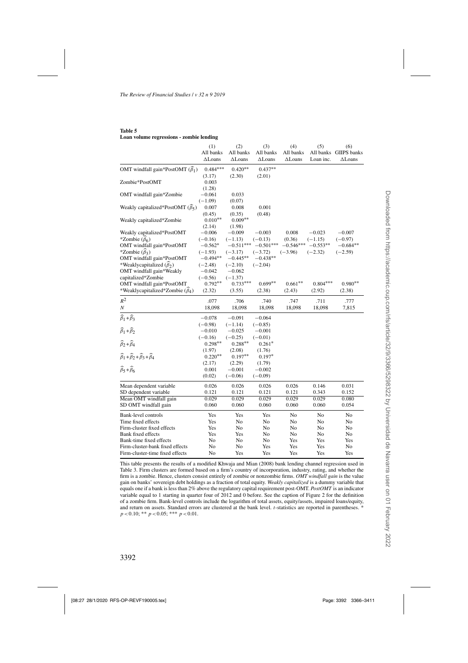### <span id="page-26-0"></span>**Table 5 Loan volume regressions - zombie lending**

|                                                                                 | (1)        | (2)            | (3)         | (4)            | (5)        | (6)                   |
|---------------------------------------------------------------------------------|------------|----------------|-------------|----------------|------------|-----------------------|
|                                                                                 | All banks  | All banks      | All banks   | All banks      |            | All banks GIIPS banks |
|                                                                                 | ∆Loans     | $\Delta$ Loans | ∆Loans      | $\Delta$ Loans | Loan inc.  | $\Delta$ Loans        |
| OMT windfall gain*PostOMT $(\widehat{\beta}_1)$                                 | $0.484***$ | $0.420**$      | $0.437**$   |                |            |                       |
|                                                                                 | (3.17)     | (2.30)         | (2.01)      |                |            |                       |
| Zombie*PostOMT                                                                  | 0.003      |                |             |                |            |                       |
|                                                                                 | (1.28)     |                |             |                |            |                       |
| OMT windfall gain*Zombie                                                        | $-0.061$   | 0.033          |             |                |            |                       |
|                                                                                 | $(-1.09)$  | (0.07)         |             |                |            |                       |
| Weakly capitalized*PostOMT $(\hat{\beta}_5)$                                    | 0.007      | 0.008          | 0.001       |                |            |                       |
|                                                                                 | (0.45)     | (0.35)         | (0.48)      |                |            |                       |
| Weakly capitalized*Zombie                                                       | $0.010**$  | $0.009**$      |             |                |            |                       |
|                                                                                 | (2.14)     | (1.98)         |             |                |            |                       |
| Weakly capitalized*PostOMT                                                      | $-0.006$   | $-0.009$       | $-0.003$    | 0.008          | $-0.023$   | $-0.007$              |
| *Zombie $(\beta_6)$                                                             | $(-0.16)$  | $(-1.13)$      | $(-0.13)$   | (0.36)         | $(-1.15)$  | $(-0.97)$             |
| OMT windfall gain*PostOMT                                                       | $-0.562*$  | $-0.511***$    | $-0.501***$ | $-0.546***$    | $-0.553**$ | $-0.684**$            |
| *Zombie $(\beta_3)$                                                             | $(-1.93)$  | $(-3.17)$      | $(-3.72)$   | $(-3.96)$      | $(-2.32)$  | $(-2.59)$             |
| OMT windfall gain*PostOMT                                                       | $-0.494**$ | $-0.445**$     | $-0.438**$  |                |            |                       |
| *Weaklycapitalized $(\beta_2)$                                                  | $(-2.48)$  | $(-2.10)$      | $(-2.04)$   |                |            |                       |
| OMT windfall gain*Weakly                                                        | $-0.042$   | $-0.062$       |             |                |            |                       |
| capitalized*Zombie                                                              | $(-0.56)$  | $(-1.37)$      |             |                |            |                       |
| OMT windfall gain*PostOMT                                                       | $0.792**$  | $0.733***$     | $0.699**$   | $0.661**$      | $0.804***$ | $0.980**$             |
| *Weaklycapitalized*Zombie $(\widehat{\beta}_4)$                                 | (2.32)     | (3.55)         | (2.38)      | (2.43)         | (2.92)     | (2.38)                |
|                                                                                 |            |                |             |                |            |                       |
| $R^2$                                                                           | .077       | .706           | .740        | .747           | .711       | .777                  |
| Ν                                                                               | 18,098     | 18,098         | 18,098      | 18,098         | 18,098     | 7,815                 |
| $\overline{\hat{\beta}_1+\hat{\beta}_3}$                                        | $-0.078$   | $-0.091$       | $-0.064$    |                |            |                       |
|                                                                                 | $(-0.98)$  | $(-1.14)$      | $(-0.85)$   |                |            |                       |
| $\widehat{\beta}_1 + \widehat{\beta}_2$                                         | $-0.010$   | $-0.025$       | $-0.001$    |                |            |                       |
|                                                                                 | $(-0.16)$  | $(-0.25)$      | $(-0.01)$   |                |            |                       |
| $\widehat{\beta}_2 + \widehat{\beta}_4$                                         | $0.298**$  | $0.288**$      | $0.261*$    |                |            |                       |
|                                                                                 | (1.97)     | (2.08)         | (1.76)      |                |            |                       |
| $\widehat{\beta}_1 + \widehat{\beta}_2 + \widehat{\beta}_3 + \widehat{\beta}_4$ | $0.220**$  | $0.197**$      | $0.197*$    |                |            |                       |
|                                                                                 | (2.17)     | (2.29)         | (1.79)      |                |            |                       |
| $\widehat{\beta}_5 + \widehat{\beta}_6$                                         | 0.001      | $-0.001$       | $-0.002$    |                |            |                       |
|                                                                                 | (0.02)     | $(-0.06)$      | $(-0.09)$   |                |            |                       |
|                                                                                 |            |                |             |                |            |                       |
| Mean dependent variable                                                         | 0.026      | 0.026          | 0.026       | 0.026          | 0.146      | 0.031                 |
| SD dependent variable                                                           | 0.121      | 0.121          | 0.121       | 0.121          | 0.343      | 0.152                 |
| Mean OMT windfall gain                                                          | 0.029      | 0.029          | 0.029       | 0.029          | 0.029      | 0.080                 |
| SD OMT windfall gain                                                            | 0.060      | 0.060          | 0.060       | 0.060          | 0.060      | 0.054                 |
| Bank-level controls                                                             | Yes        | Yes            | Yes         | No             | No         | No                    |
| Time fixed effects                                                              | Yes        | No             | No          | No             | No         | No                    |
| Firm-cluster fixed effects                                                      | Yes        | No             | No          | No             | No         | No                    |
| Bank fixed effects                                                              | Yes        | Yes            | No          | No             | No         | No                    |
| Bank-time fixed effects                                                         | No         | No             | No          | Yes            | Yes        | Yes                   |
| Firm-cluster-bank fixed effects                                                 | No         | No             | Yes         | Yes            | Yes        | No                    |
| Firm-cluster-time fixed effects                                                 | No         | Yes            | Yes         | Yes            | Yes        | Yes                   |

This table presents the results of a modified Khwaja and Mian (2008) bank lending channel regression used in Table [3.](#page-14-0) Firm clusters are formed based on a firm's country of incorporation, industry, rating, and whether the firm is a zombie. Hence, clusters consist entirely of zombie or nonzombie firms. *OMT windfall gain* is the value gain on banks' sovereign debt holdings as a fraction of total equity. *Weakly capitalized* is a dummy variable that equals one if a bank is less than 2% above the regulatory capital requirement post-OMT. *PostOMT* is an indicator variable equal to 1 starting in quarter four of 2012 and 0 before. See the caption of Figure [2](#page-21-0) for the definition of a zombie firm. Bank-level controls include the logarithm of total assets, equity/assets, impaired loans/equity, and return on assets. Standard errors are clustered at the bank level. *<sup>t</sup>*-statistics are reported in parentheses. \* *p <*0*.*10; \*\* *p <*0*.*05; \*\*\* *p <*0*.*01.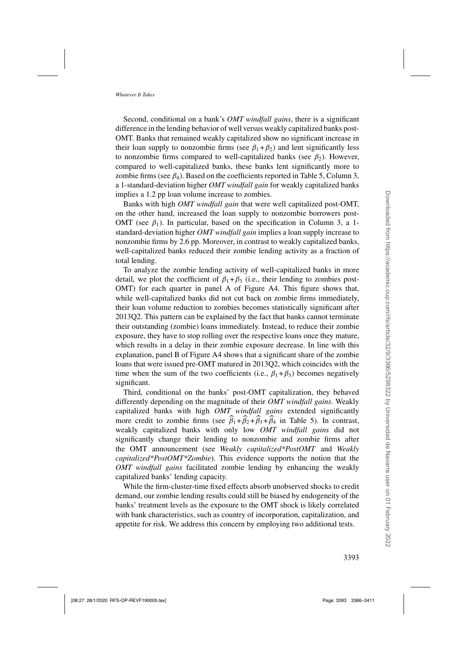Second, conditional on a bank's *OMT windfall gains*, there is a significant difference in the lending behavior of well versus weakly capitalized banks post-OMT. Banks that remained weakly capitalized show no significant increase in their loan supply to nonzombie firms (see  $\beta_1 + \beta_2$ ) and lent significantly less to nonzombie firms compared to well-capitalized banks (see  $\beta_2$ ). However, compared to well-capitalized banks, these banks lent significantly more to zombie firms (see  $\beta_4$ ). Based on the coefficients reported in Table [5,](#page-26-0) Column 3, a 1-standard-deviation higher *OMT windfall gain* for weakly capitalized banks implies a 1.2 pp loan volume increase to zombies.

Banks with high *OMT windfall gain* that were well capitalized post-OMT, on the other hand, increased the loan supply to nonzombie borrowers post-OMT (see  $\beta_1$ ). In particular, based on the specification in Column 3, a 1standard-deviation higher *OMT windfall gain* implies a loan supply increase to nonzombie firms by 2.6 pp. Moreover, in contrast to weakly capitalized banks, well-capitalized banks reduced their zombie lending activity as a fraction of total lending.

To analyze the zombie lending activity of well-capitalized banks in more detail, we plot the coefficient of  $\beta_1 + \beta_3$  (i.e., their lending to zombies post-OMT) for each quarter in panel A of Figure A4. This figure shows that, while well-capitalized banks did not cut back on zombie firms immediately, their loan volume reduction to zombies becomes statistically significant after 2013Q2. This pattern can be explained by the fact that banks cannot terminate their outstanding (zombie) loans immediately. Instead, to reduce their zombie exposure, they have to stop rolling over the respective loans once they mature, which results in a delay in their zombie exposure decrease. In line with this explanation, panel B of Figure A4 shows that a significant share of the zombie loans that were issued pre-OMT matured in 2013Q2, which coincides with the time when the sum of the two coefficients (i.e.,  $\beta_1 + \beta_3$ ) becomes negatively significant.

Third, conditional on the banks' post-OMT capitalization, they behaved differently depending on the magnitude of their *OMT windfall gains*. Weakly capitalized banks with high *OMT windfall gains* extended significantly more credit to zombie firms (see  $\beta_1 + \beta_2 + \beta_3 + \beta_4$  in Table [5\)](#page-26-0). In contrast, weakly capitalized banks with only low *OMT windfall gains* did not significantly change their lending to nonzombie and zombie firms after the OMT announcement (see *Weakly capitalized\*PostOMT* and *Weakly capitalized\*PostOMT\*Zombie*). This evidence supports the notion that the *OMT windfall gains* facilitated zombie lending by enhancing the weakly capitalized banks' lending capacity.

While the firm-cluster-time fixed effects absorb unobserved shocks to credit demand, our zombie lending results could still be biased by endogeneity of the banks' treatment levels as the exposure to the OMT shock is likely correlated with bank characteristics, such as country of incorporation, capitalization, and appetite for risk. We address this concern by employing two additional tests.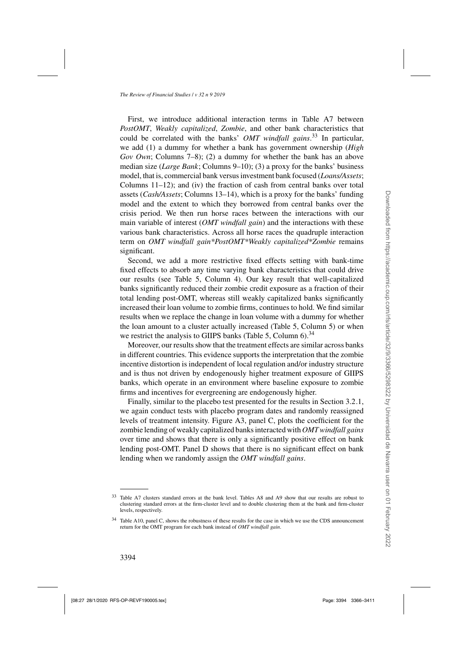First, we introduce additional interaction terms in Table A7 between *PostOMT*, *Weakly capitalized*, *Zombie*, and other bank characteristics that could be correlated with the banks' *OMT windfall gains*. <sup>33</sup> In particular, we add (1) a dummy for whether a bank has government ownership (*High Gov Own*; Columns 7–8); (2) a dummy for whether the bank has an above median size (*Large Bank*; Columns 9–10); (3) a proxy for the banks' business model, that is, commercial bank versus investment bank focused (*Loans/Assets*; Columns 11–12); and (iv) the fraction of cash from central banks over total assets (*Cash/Assets*; Columns 13–14), which is a proxy for the banks' funding model and the extent to which they borrowed from central banks over the crisis period. We then run horse races between the interactions with our main variable of interest (*OMT windfall gain*) and the interactions with these various bank characteristics. Across all horse races the quadruple interaction term on *OMT windfall gain\*PostOMT\*Weakly capitalized\*Zombie* remains significant.

Second, we add a more restrictive fixed effects setting with bank-time fixed effects to absorb any time varying bank characteristics that could drive our results (see Table [5,](#page-26-0) Column 4). Our key result that well-capitalized banks significantly reduced their zombie credit exposure as a fraction of their total lending post-OMT, whereas still weakly capitalized banks significantly increased their loan volume to zombie firms, continues to hold. We find similar results when we replace the change in loan volume with a dummy for whether the loan amount to a cluster actually increased (Table [5,](#page-26-0) Column 5) or when we restrict the analysis to GIIPS banks (Table [5,](#page-26-0) Column 6).<sup>34</sup>

Moreover, our results show that the treatment effects are similar across banks in different countries. This evidence supports the interpretation that the zombie incentive distortion is independent of local regulation and/or industry structure and is thus not driven by endogenously higher treatment exposure of GIIPS banks, which operate in an environment where baseline exposure to zombie firms and incentives for evergreening are endogenously higher.

Finally, similar to the placebo test presented for the results in Section [3.2.1,](#page-13-0) we again conduct tests with placebo program dates and randomly reassigned levels of treatment intensity. Figure A3, panel C, plots the coefficient for the zombie lending of weakly capitalized banks interacted with *OMT windfall gains* over time and shows that there is only a significantly positive effect on bank lending post-OMT. Panel D shows that there is no significant effect on bank lending when we randomly assign the *OMT windfall gains*.

<sup>33</sup> Table A7 clusters standard errors at the bank level. Tables A8 and A9 show that our results are robust to clustering standard errors at the firm-cluster level and to double clustering them at the bank and firm-cluster levels, respectively.

<sup>34</sup> Table A10, panel C, shows the robustness of these results for the case in which we use the CDS announcement return for the OMT program for each bank instead of *OMT windfall gain*.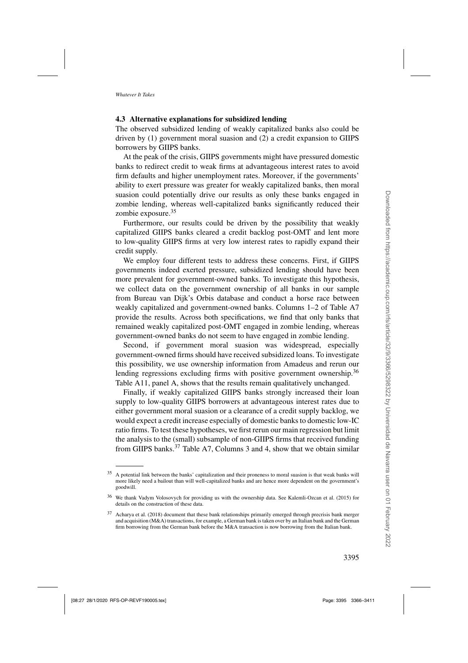# **4.3 Alternative explanations for subsidized lending**

The observed subsidized lending of weakly capitalized banks also could be driven by (1) government moral suasion and (2) a credit expansion to GIIPS borrowers by GIIPS banks.

At the peak of the crisis, GIIPS governments might have pressured domestic banks to redirect credit to weak firms at advantageous interest rates to avoid firm defaults and higher unemployment rates. Moreover, if the governments' ability to exert pressure was greater for weakly capitalized banks, then moral suasion could potentially drive our results as only these banks engaged in zombie lending, whereas well-capitalized banks significantly reduced their zombie exposure.<sup>35</sup>

Furthermore, our results could be driven by the possibility that weakly capitalized GIIPS banks cleared a credit backlog post-OMT and lent more to low-quality GIIPS firms at very low interest rates to rapidly expand their credit supply.

We employ four different tests to address these concerns. First, if GIIPS governments indeed exerted pressure, subsidized lending should have been more prevalent for government-owned banks. To investigate this hypothesis, we collect data on the government ownership of all banks in our sample from Bureau van Dijk's Orbis database and conduct a horse race between weakly capitalized and government-owned banks. Columns 1–2 of Table A7 provide the results. Across both specifications, we find that only banks that remained weakly capitalized post-OMT engaged in zombie lending, whereas government-owned banks do not seem to have engaged in zombie lending.

Second, if government moral suasion was widespread, especially government-owned firms should have received subsidized loans. To investigate this possibility, we use ownership information from Amadeus and rerun our lending regressions excluding firms with positive government ownership.<sup>36</sup> Table A11, panel A, shows that the results remain qualitatively unchanged.

Finally, if weakly capitalized GIIPS banks strongly increased their loan supply to low-quality GIIPS borrowers at advantageous interest rates due to either government moral suasion or a clearance of a credit supply backlog, we would expect a credit increase especially of domestic banks to domestic low-IC ratio firms. To test these hypotheses, we first rerun our main regression but limit the analysis to the (small) subsample of non-GIIPS firms that received funding from GIIPS banks.<sup>37</sup> Table A7, Columns 3 and 4, show that we obtain similar

<sup>35</sup> A potential link between the banks' capitalization and their proneness to moral suasion is that weak banks will more likely need a bailout than will well-capitalized banks and are hence more dependent on the government's goodwill.

We thank Vadym Volosovych for providing us with the ownership data. See [Kalemli-Ozcan et al.](#page-44-0) [\(2015\)](#page-44-0) for details on the construction of these data.

<sup>37</sup> [Acharya et al.](#page-43-0) [\(2018\)](#page-43-0) document that these bank relationships primarily emerged through precrisis bank merger and acquisition (M&A) transactions, for example, a German bank is taken over by an Italian bank and the German firm borrowing from the German bank before the M&A transaction is now borrowing from the Italian bank.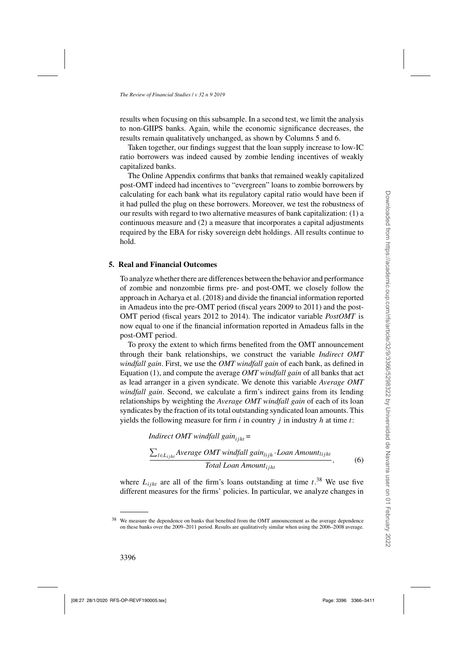results when focusing on this subsample. In a second test, we limit the analysis to non-GIIPS banks. Again, while the economic significance decreases, the results remain qualitatively unchanged, as shown by Columns 5 and 6.

Taken together, our findings suggest that the loan supply increase to low-IC ratio borrowers was indeed caused by zombie lending incentives of weakly capitalized banks.

The Online Appendix confirms that banks that remained weakly capitalized post-OMT indeed had incentives to "evergreen" loans to zombie borrowers by calculating for each bank what its regulatory capital ratio would have been if it had pulled the plug on these borrowers. Moreover, we test the robustness of our results with regard to two alternative measures of bank capitalization: (1) a continuous measure and (2) a measure that incorporates a capital adjustments required by the EBA for risky sovereign debt holdings. All results continue to hold.

## **5. Real and Financial Outcomes**

To analyze whether there are differences between the behavior and performance of zombie and nonzombie firms pre- and post-OMT, we closely follow the approach in [Acharya et al.](#page-43-0) [\(2018\)](#page-43-0) and divide the financial information reported in Amadeus into the pre-OMT period (fiscal years 2009 to 2011) and the post-OMT period (fiscal years 2012 to 2014). The indicator variable *PostOMT* is now equal to one if the financial information reported in Amadeus falls in the post-OMT period.

To proxy the extent to which firms benefited from the OMT announcement through their bank relationships, we construct the variable *Indirect OMT windfall gain*. First, we use the *OMT windfall gain* of each bank, as defined in Equation [\(1\)](#page-10-0), and compute the average *OMT windfall gain* of all banks that act as lead arranger in a given syndicate. We denote this variable *Average OMT windfall gain*. Second, we calculate a firm's indirect gains from its lending relationships by weighting the *Average OMT windfall gain* of each of its loan syndicates by the fraction of its total outstanding syndicated loan amounts. This yields the following measure for firm *i* in country *j* in industry *h* at time *t*:

> *Indirect OMT windfall gainijht* <sup>=</sup> *<sup>l</sup>*∈*Lijht Average OMT windfall gainlijh* ·*Loan Amountlijht Total Loan Amountijht ,* (6)

where  $L_{ijht}$  are all of the firm's loans outstanding at time  $t^{38}$ . We use five different measures for the firms' policies. In particular, we analyze changes in different measures for the firms' policies. In particular, we analyze changes in

<sup>38</sup> We measure the dependence on banks that benefited from the OMT announcement as the average dependence on these banks over the 2009–2011 period. Results are qualitatively similar when using the 2006–2008 average.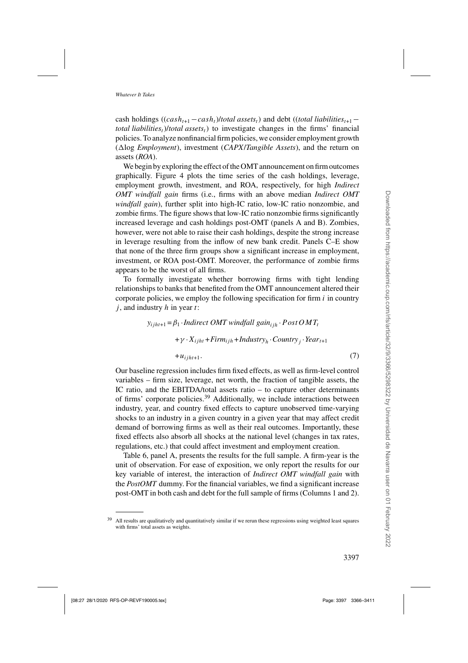cash holdings ( $(cash_{t+1}-cash_t)/total$  assets<sub>t</sub>) and debt ((*total liabilities*<sub> $t+1$ −*total liabilities<sub>t</sub></sub>*)/*total assets<sub>t</sub>*) to investigate changes in the firms' financial policies. To analyze nonfinancial firm policies, we consider employment growth ( $\triangle$ log *Employment*), investment (*CAPX/Tangible Assets*), and the return on assets (*ROA*) assets (*ROA*).

We begin by exploring the effect of the OMT announcement on firm outcomes graphically. Figure [4](#page-32-0) plots the time series of the cash holdings, leverage, employment growth, investment, and ROA, respectively, for high *Indirect OMT windfall gain* firms (i.e., firms with an above median *Indirect OMT windfall gain*), further split into high-IC ratio, low-IC ratio nonzombie, and zombie firms. The figure shows that low-IC ratio nonzombie firms significantly increased leverage and cash holdings post-OMT (panels A and B). Zombies, however, were not able to raise their cash holdings, despite the strong increase in leverage resulting from the inflow of new bank credit. Panels C–E show that none of the three firm groups show a significant increase in employment, investment, or ROA post-OMT. Moreover, the performance of zombie firms appears to be the worst of all firms.

To formally investigate whether borrowing firms with tight lending relationships to banks that benefited from the OMT announcement altered their corporate policies, we employ the following specification for firm *i* in country *j* , and industry *h* in year *t*:

$$
y_{ijht+1} = \beta_1 \cdot Indirect\ OMT\ windfall\ gain_{ijh} \cdot Post\ OMT_t
$$
  
+  $\gamma \cdot X_{ijht} + Firm_{ijh} + Industry_h \cdot Country_j \cdot Year_{t+1}$   
+  $u_{ijht+1}$ . (7)

Our baseline regression includes firm fixed effects, as well as firm-level control variables – firm size, leverage, net worth, the fraction of tangible assets, the IC ratio, and the EBITDA/total assets ratio – to capture other determinants of firms' corporate policies.<sup>39</sup> Additionally, we include interactions between industry, year, and country fixed effects to capture unobserved time-varying shocks to an industry in a given country in a given year that may affect credit demand of borrowing firms as well as their real outcomes. Importantly, these fixed effects also absorb all shocks at the national level (changes in tax rates, regulations, etc.) that could affect investment and employment creation.

Table [6,](#page-33-0) panel A, presents the results for the full sample. A firm-year is the unit of observation. For ease of exposition, we only report the results for our key variable of interest, the interaction of *Indirect OMT windfall gain* with the *PostOMT* dummy. For the financial variables, we find a significant increase post-OMT in both cash and debt for the full sample of firms (Columns 1 and 2).

<sup>&</sup>lt;sup>39</sup> All results are qualitatively and quantitatively similar if we rerun these regressions using weighted least squares with firms' total assets as weights.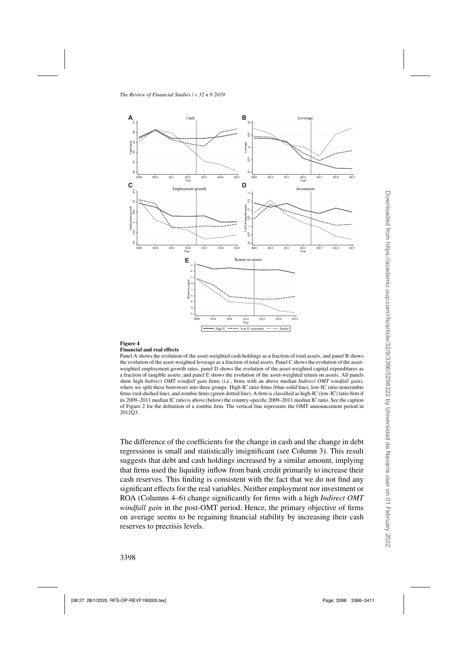<span id="page-32-0"></span>

#### **Figure 4**

#### **Financial and real effects**

Panel A shows the evolution of the asset-weighted cash holdings as a fraction of total assets, and panel B shows the evolution of the asset-weighted leverage as a fraction of total assets. Panel C shows the evolution of the assetweighted employment growth rates; panel D shows the evolution of the asset-weighted capital expenditures as a fraction of tangible assets; and panel E shows the evolution of the asset-weighted return on assets. All panels show high *Indirect OMT windfall gain* firms (i.e., firms with an above median *Indirect OMT windfall gain*), where we split these borrowers into three groups: High-IC ratio firms (blue-solid line), low-IC ratio nonzombie firms (red-dashed line), and zombie firms (green dotted line). A firm is classified as high-IC (low-IC) ratio firm if its 2009–2011 median IC ratio is above (below) the country-specific 2009–2011 median IC ratio. See the caption of Figure [2](#page-21-0) for the definition of a zombie firm. The vertical line represents the OMT announcement period in 2012Q3.

The difference of the coefficients for the change in cash and the change in debt regressions is small and statistically insignificant (see Column 3). This result suggests that debt and cash holdings increased by a similar amount, implying that firms used the liquidity inflow from bank credit primarily to increase their cash reserves. This finding is consistent with the fact that we do not find any significant effects for the real variables. Neither employment nor investment or ROA (Columns 4–6) change significantly for firms with a high *Indirect OMT windfall gain* in the post-OMT period. Hence, the primary objective of firms on average seems to be regaining financial stability by increasing their cash reserves to precrisis levels.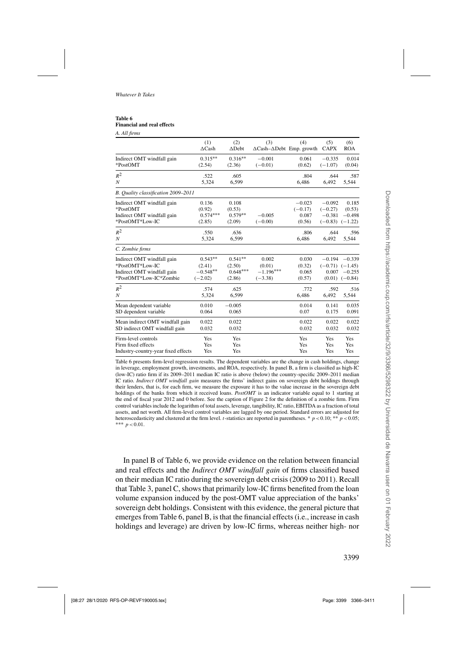#### <span id="page-33-0"></span>**Table 6 Financial and real effects** *A. All firms*

|                                                                                         | (1)<br>$\Delta$ Cash                    | (2)<br>$\triangle$ Debt                | (3)<br>$\Delta$ Cash- $\Delta$ Debt Emp. growth | (4)                                      | (5)<br><b>CAPX</b>                | (6)<br><b>ROA</b>                                  |
|-----------------------------------------------------------------------------------------|-----------------------------------------|----------------------------------------|-------------------------------------------------|------------------------------------------|-----------------------------------|----------------------------------------------------|
| Indirect OMT windfall gain                                                              | $0.315**$                               | $0.316**$                              | $-0.001$                                        | 0.061                                    | $-0.335$                          | 0.014                                              |
| *PostOMT                                                                                | (2.54)                                  | (2.36)                                 | $(-0.01)$                                       | (0.62)                                   | $(-1.07)$                         | (0.04)                                             |
| $R^2$                                                                                   | .522                                    | .605                                   |                                                 | .804                                     | .644                              | .587                                               |
| N                                                                                       | 5.324                                   | 6,599                                  |                                                 | 6,486                                    | 6,492                             | 5,544                                              |
| B. Quality classification 2009-2011                                                     |                                         |                                        |                                                 |                                          |                                   |                                                    |
| Indirect OMT windfall gain<br>*PostOMT<br>Indirect OMT windfall gain<br>*PostOMT*Low-IC | 0.136<br>(0.92)<br>$0.574***$<br>(2.85) | 0.108<br>(0.53)<br>$0.579**$<br>(2.09) | $-0.005$<br>$(-0.00)$                           | $-0.023$<br>$(-0.17)$<br>0.087<br>(0.56) | $-0.092$<br>$(-0.27)$<br>$-0.381$ | 0.185<br>(0.53)<br>$-0.498$<br>$(-0.83)$ $(-1.22)$ |
| $R^2$                                                                                   | .550                                    | .636                                   |                                                 | .806                                     | .644                              | .596                                               |
| N                                                                                       | 5,324                                   | 6,599                                  |                                                 | 6,486                                    | 6,492                             | 5,544                                              |
| C. Zombie firms                                                                         |                                         |                                        |                                                 |                                          |                                   |                                                    |
| Indirect OMT windfall gain                                                              | $0.543**$                               | $0.541**$                              | 0.002                                           | 0.030                                    | 0.007                             | $-0.194$ $-0.339$                                  |
| *PostOMT*Low-IC                                                                         | (2.41)                                  | (2.50)                                 | (0.01)                                          | (0.32)                                   |                                   | $(-0.71)$ $(-1.45)$                                |
| Indirect OMT windfall gain                                                              | $-0.548**$                              | $0.648***$                             | $-1.196***$                                     | 0.065                                    |                                   | $-0.255$                                           |
| *PostOMT*Low-IC*Zombie                                                                  | $(-2.02)$                               | (2.86)                                 | $(-3.38)$                                       | (0.57)                                   |                                   | $(0.01)$ $(-0.84)$                                 |
| $R^2$                                                                                   | .574                                    | .625                                   |                                                 | .772                                     | .592                              | .516                                               |
| N                                                                                       | 5,324                                   | 6,599                                  |                                                 | 6,486                                    | 6,492                             | 5,544                                              |
| Mean dependent variable                                                                 | 0.010                                   | $-0.005$                               |                                                 | 0.014                                    | 0.141                             | 0.035                                              |
| SD dependent variable                                                                   | 0.064                                   | 0.065                                  |                                                 | 0.07                                     | 0.175                             | 0.091                                              |
| Mean indirect OMT windfall gain                                                         | 0.022                                   | 0.022                                  |                                                 | 0.022                                    | 0.022                             | 0.022                                              |
| SD indirect OMT windfall gain                                                           | 0.032                                   | 0.032                                  |                                                 | 0.032                                    | 0.032                             | 0.032                                              |
| Firm-level controls                                                                     | Yes                                     | Yes                                    |                                                 | Yes                                      | Yes                               | Yes                                                |
| Firm fixed effects                                                                      | Yes                                     | Yes                                    |                                                 | Yes                                      | Yes                               | Yes                                                |
| Industry-country-year fixed effects                                                     | Yes                                     | Yes                                    |                                                 | Yes                                      | Yes                               | Yes                                                |

Table 6 presents firm-level regression results. The dependent variables are the change in cash holdings, change in leverage, employment growth, investments, and ROA, respectively. In panel B, a firm is classified as high-IC (low-IC) ratio firm if its 2009–2011 median IC ratio is above (below) the country-specific 2009–2011 median IC ratio. *Indirect OMT windfall gain* measures the firms' indirect gains on sovereign debt holdings through their lenders, that is, for each firm, we measure the exposure it has to the value increase in the sovereign debt holdings of the banks from which it received loans. *PostOMT* is an indicator variable equal to 1 starting at the end of fiscal year 2012 and 0 before. See the caption of Figure [2](#page-21-0) for the definition of a zombie firm. Firm control variables include the logarithm of total assets, leverage, tangibility, IC ratio, EBITDA as a fraction of total assets, and net worth. All firm-level control variables are lagged by one period. Standard errors are adjusted for heteroscedasticity and clustered at the firm level. *<sup>t</sup>*-statistics are reported in parentheses. \* *p <*0*.*10; \*\* *p <*0*.*05; \*\*\*  $p < 0.01$ .

In panel B of Table 6, we provide evidence on the relation between financial and real effects and the *Indirect OMT windfall gain* of firms classified based on their median IC ratio during the sovereign debt crisis (2009 to 2011). Recall that Table [3,](#page-14-0) panel C, shows that primarily low-IC firms benefited from the loan volume expansion induced by the post-OMT value appreciation of the banks' sovereign debt holdings. Consistent with this evidence, the general picture that emerges from Table 6, panel B, is that the financial effects (i.e., increase in cash holdings and leverage) are driven by low-IC firms, whereas neither high- nor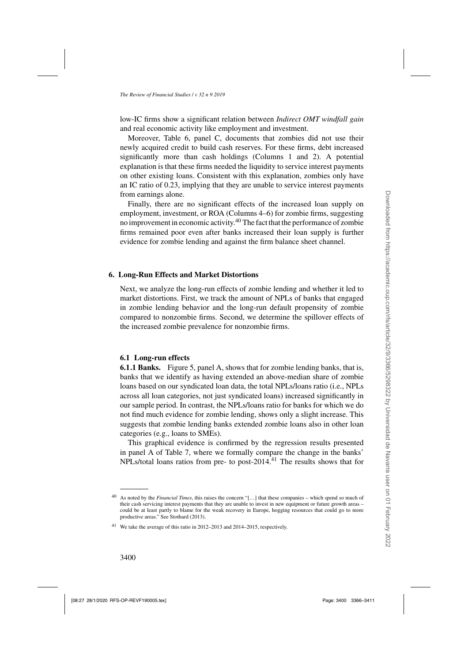low-IC firms show a significant relation between *Indirect OMT windfall gain* and real economic activity like employment and investment.

Moreover, Table [6,](#page-33-0) panel C, documents that zombies did not use their newly acquired credit to build cash reserves. For these firms, debt increased significantly more than cash holdings (Columns 1 and 2). A potential explanation is that these firms needed the liquidity to service interest payments on other existing loans. Consistent with this explanation, zombies only have an IC ratio of 0.23, implying that they are unable to service interest payments from earnings alone.

Finally, there are no significant effects of the increased loan supply on employment, investment, or ROA (Columns 4–6) for zombie firms, suggesting no improvement in economic activity.<sup>40</sup> The fact that the performance of zombie firms remained poor even after banks increased their loan supply is further evidence for zombie lending and against the firm balance sheet channel.

## **6. Long-Run Effects and Market Distortions**

Next, we analyze the long-run effects of zombie lending and whether it led to market distortions. First, we track the amount of NPLs of banks that engaged in zombie lending behavior and the long-run default propensity of zombie compared to nonzombie firms. Second, we determine the spillover effects of the increased zombie prevalence for nonzombie firms.

### **6.1 Long-run effects**

**6.1.1 Banks.** Figure [5,](#page-35-0) panel A, shows that for zombie lending banks, that is, banks that we identify as having extended an above-median share of zombie loans based on our syndicated loan data, the total NPLs/loans ratio (i.e., NPLs across all loan categories, not just syndicated loans) increased significantly in our sample period. In contrast, the NPLs/loans ratio for banks for which we do not find much evidence for zombie lending, shows only a slight increase. This suggests that zombie lending banks extended zombie loans also in other loan categories (e.g., loans to SMEs).

This graphical evidence is confirmed by the regression results presented in panel A of Table [7,](#page-36-0) where we formally compare the change in the banks'  $NPLs/total$  loans ratios from pre- to post-2014.<sup>41</sup> The results shows that for

As noted by the *Financial Times*, this raises the concern "[...] that these companies – which spend so much of their cash servicing interest payments that they are unable to invest in new equipment or future growth areas – could be at least partly to blame for the weak recovery in Europe, hogging resources that could go to more productive areas." See [Stothard](#page-45-0) [\(2013\)](#page-45-0).

<sup>41</sup> We take the average of this ratio in 2012–2013 and 2014–2015, respectively.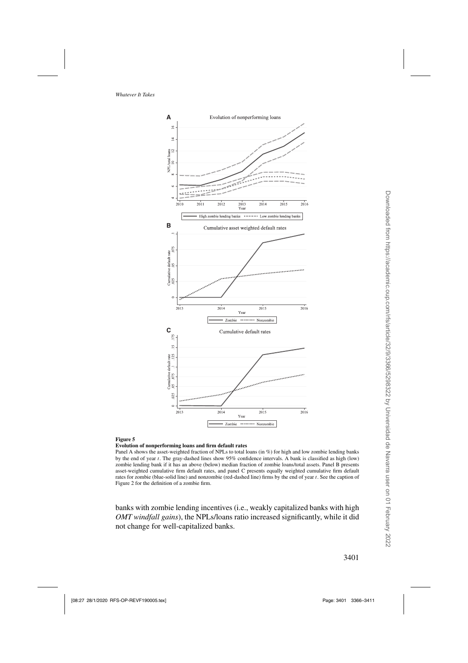<span id="page-35-0"></span>

#### **Figure 5**

**Evolution of nonperforming loans and firm default rates**

Panel A shows the asset-weighted fraction of NPLs to total loans (in %) for high and low zombie lending banks by the end of year *<sup>t</sup>*. The gray-dashed lines show 95% confidence intervals. A bank is classified as high (low) zombie lending bank if it has an above (below) median fraction of zombie loans/total assets. Panel B presents asset-weighted cumulative firm default rates, and panel C presents equally weighted cumulative firm default rates for zombie (blue-solid line) and nonzombie (red-dashed line) firms by the end of year *<sup>t</sup>*. See the caption of Figure [2](#page-21-0) for the definition of a zombie firm.

banks with zombie lending incentives (i.e., weakly capitalized banks with high *OMT windfall gains*), the NPLs/loans ratio increased significantly, while it did not change for well-capitalized banks.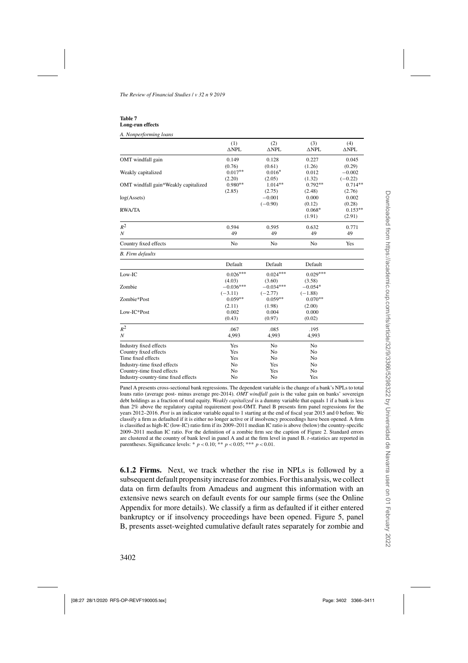#### <span id="page-36-0"></span>**Table 7 Long-run effects**

*A. Nonperforming loans*

|                                      | (1)<br>∆NPL | (2)<br>$\triangle$ NPL | (3)<br>$\triangle$ NPL | (4)<br>$\triangle$ NPL |
|--------------------------------------|-------------|------------------------|------------------------|------------------------|
| OMT windfall gain                    | 0.149       | 0.128                  | 0.227                  | 0.045                  |
|                                      | (0.76)      | (0.61)                 | (1.26)                 | (0.29)                 |
| Weakly capitalized                   | $0.017**$   | $0.016*$               | 0.012                  | $-0.002$               |
|                                      | (2.20)      | (2.05)                 | (1.32)                 | $(-0.22)$              |
| OMT windfall gain*Weakly capitalized | $0.980**$   | $1.014**$              | $0.792**$              | $0.714**$              |
|                                      | (2.85)      | (2.75)                 | (2.48)                 | (2.76)                 |
| log(A <sub>s</sub> )                 |             | $-0.001$               | 0.000                  | 0.002                  |
|                                      |             | $(-0.90)$              | (0.12)                 | (0.28)                 |
| RWA/TA                               |             |                        | $0.068*$               | $0.153**$              |
|                                      |             |                        | (1.91)                 | (2.91)                 |
| $R^2$                                | 0.594       | 0.595                  | 0.632                  | 0.771                  |
| $\boldsymbol{N}$                     | 49          | 49                     | 49                     | 49                     |
| Country fixed effects                | No          | No                     | N <sub>0</sub>         | Yes                    |
| <b>B.</b> Firm defaults              |             |                        |                        |                        |

|                                     | Default     | Default     | Default        |  |
|-------------------------------------|-------------|-------------|----------------|--|
| $Low-IC$                            | $0.026***$  | $0.024***$  | $0.029***$     |  |
|                                     | (4.03)      | (3.60)      | (3.58)         |  |
| Zombie                              | $-0.036***$ | $-0.034***$ | $-0.054*$      |  |
|                                     | $(-3.11)$   | $(-2.77)$   | $(-1.88)$      |  |
| Zombie*Post                         | $0.059**$   | $0.059**$   | $0.070**$      |  |
|                                     | (2.11)      | (1.98)      | (2.00)         |  |
| $Low-IC*Post$                       | 0.002       | 0.004       | 0.000          |  |
|                                     | (0.43)      | (0.97)      | (0.02)         |  |
| $R^2$                               | .067        | .085        | .195           |  |
| N                                   | 4,993       | 4,993       | 4,993          |  |
| Industry fixed effects              | Yes         | No          | N <sub>0</sub> |  |
| Country fixed effects               | Yes         | No          | N <sub>0</sub> |  |
| Time fixed effects                  | Yes         | No          | N <sub>0</sub> |  |
| Industry-time fixed effects         | No          | Yes         | N <sub>0</sub> |  |
| Country-time fixed effects          | No          | Yes         | N <sub>0</sub> |  |
| Industry-country-time fixed effects | No          | No          | Yes            |  |

Panel A presents cross-sectional bank regressions. The dependent variable is the change of a bank's NPLs to total loans ratio (average post- minus average pre-2014). *OMT windfall gain* is the value gain on banks' sovereign debt holdings as a fraction of total equity. *Weakly capitalized* is a dummy variable that equals 1 if a bank is less than 2% above the regulatory capital requirement post-OMT. Panel B presents firm panel regressions for the years 2012–2016. *Post* is an indicator variable equal to 1 starting at the end of fiscal year 2015 and 0 before. We classify a firm as defaulted if it is either no longer active or if insolvency proceedings have been opened. A firm is classified as high-IC (low-IC) ratio firm if its 2009–2011 median IC ratio is above (below) the country-specific 2009–2011 median IC ratio. For the definition of a zombie firm see the caption of Figure [2.](#page-21-0) Standard errors are clustered at the country of bank level in panel A and at the firm level in panel B. *<sup>t</sup>*-statistics are reported in parentheses. Significance levels: \*  $p < 0.10$ ; \*\*  $p < 0.05$ ; \*\*\*  $p < 0.01$ .

**6.1.2 Firms.** Next, we track whether the rise in NPLs is followed by a subsequent default propensity increase for zombies. For this analysis, we collect data on firm defaults from Amadeus and augment this information with an extensive news search on default events for our sample firms (see the Online Appendix for more details). We classify a firm as defaulted if it either entered bankruptcy or if insolvency proceedings have been opened. Figure [5,](#page-35-0) panel B, presents asset-weighted cumulative default rates separately for zombie and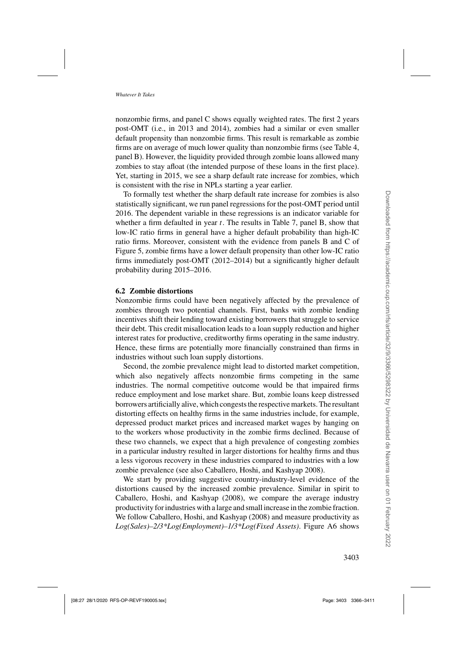nonzombie firms, and panel C shows equally weighted rates. The first 2 years post-OMT (i.e., in 2013 and 2014), zombies had a similar or even smaller default propensity than nonzombie firms. This result is remarkable as zombie firms are on average of much lower quality than nonzombie firms (see Table [4,](#page-22-0) panel B). However, the liquidity provided through zombie loans allowed many zombies to stay afloat (the intended purpose of these loans in the first place). Yet, starting in 2015, we see a sharp default rate increase for zombies, which is consistent with the rise in NPLs starting a year earlier.

To formally test whether the sharp default rate increase for zombies is also statistically significant, we run panel regressions for the post-OMT period until 2016. The dependent variable in these regressions is an indicator variable for whether a firm defaulted in year *t*. The results in Table [7,](#page-36-0) panel B, show that low-IC ratio firms in general have a higher default probability than high-IC ratio firms. Moreover, consistent with the evidence from panels B and C of Figure [5,](#page-35-0) zombie firms have a lower default propensity than other low-IC ratio firms immediately post-OMT (2012–2014) but a significantly higher default probability during 2015–2016.

# **6.2 Zombie distortions**

Nonzombie firms could have been negatively affected by the prevalence of zombies through two potential channels. First, banks with zombie lending incentives shift their lending toward existing borrowers that struggle to service their debt. This credit misallocation leads to a loan supply reduction and higher interest rates for productive, creditworthy firms operating in the same industry. Hence, these firms are potentially more financially constrained than firms in industries without such loan supply distortions.

Second, the zombie prevalence might lead to distorted market competition, which also negatively affects nonzombie firms competing in the same industries. The normal competitive outcome would be that impaired firms reduce employment and lose market share. But, zombie loans keep distressed borrowers artificially alive, which congests the respective markets. The resultant distorting effects on healthy firms in the same industries include, for example, depressed product market prices and increased market wages by hanging on to the workers whose productivity in the zombie firms declined. Because of these two channels, we expect that a high prevalence of congesting zombies in a particular industry resulted in larger distortions for healthy firms and thus a less vigorous recovery in these industries compared to industries with a low zombie prevalence (see also [Caballero, Hoshi, and Kashyap 2008](#page-43-0)).

We start by providing suggestive country-industry-level evidence of the distortions caused by the increased zombie prevalence. Similar in spirit to [Caballero, Hoshi, and Kashyap](#page-43-0) [\(2008\)](#page-43-0), we compare the average industry productivity for industries with a large and small increase in the zombie fraction. We follow [Caballero, Hoshi, and Kashyap](#page-43-0) [\(2008](#page-43-0)) and measure productivity as *Log(Sales)–2/3\*Log(Employment)–1/3\*Log(Fixed Assets)*. Figure A6 shows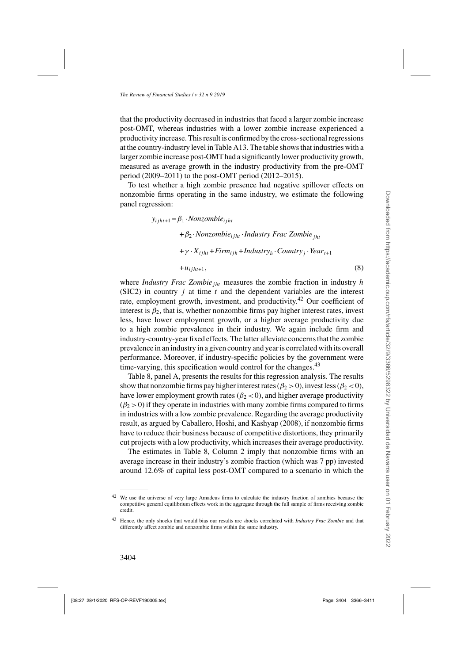that the productivity decreased in industries that faced a larger zombie increase post-OMT, whereas industries with a lower zombie increase experienced a productivity increase. This result is confirmed by the cross-sectional regressions at the country-industry level in Table A13. The table shows that industries with a larger zombie increase post-OMT had a significantly lower productivity growth, measured as average growth in the industry productivity from the pre-OMT period (2009–2011) to the post-OMT period (2012–2015).

To test whether a high zombie presence had negative spillover effects on nonzombie firms operating in the same industry, we estimate the following panel regression:

$$
y_{ijht+1} = \beta_1 \cdot Nonzombie_{ijht}
$$
  
+  $\beta_2 \cdot Nonzombie_{ijht} \cdot Industry Frac Zombie_{jht}$   
+  $\gamma \cdot X_{ijht} + Firm_{ijh} + Industry_h \cdot Country_j \cdot Year_{t+1}$   
+  $u_{ijht+1}$ , (8)

where *Industry Frac Zombiejht* measures the zombie fraction in industry *<sup>h</sup>* (SIC2) in country *j* at time *t* and the dependent variables are the interest rate, employment growth, investment, and productivity.<sup>42</sup> Our coefficient of interest is  $\beta_2$ , that is, whether nonzombie firms pay higher interest rates, invest less, have lower employment growth, or a higher average productivity due to a high zombie prevalence in their industry. We again include firm and industry-country-year fixed effects. The latter alleviate concerns that the zombie prevalence in an industry in a given country and year is correlated with its overall performance. Moreover, if industry-specific policies by the government were time-varying, this specification would control for the changes.<sup>43</sup>

Table [8,](#page-39-0) panel A, presents the results for this regression analysis. The results show that nonzombie firms pay higher interest rates ( $\beta_2$  > 0), invest less ( $\beta_2$  < 0), have lower employment growth rates ( $\beta$ <sub>2</sub> < 0), and higher average productivity  $(\beta_2 > 0)$  if they operate in industries with many zombie firms compared to firms in industries with a low zombie prevalence. Regarding the average productivity result, as argued by [Caballero, Hoshi, and Kashyap](#page-43-0) [\(2008](#page-43-0)), if nonzombie firms have to reduce their business because of competitive distortions, they primarily cut projects with a low productivity, which increases their average productivity.

The estimates in Table [8,](#page-39-0) Column 2 imply that nonzombie firms with an average increase in their industry's zombie fraction (which was 7 pp) invested around 12.6% of capital less post-OMT compared to a scenario in which the

<sup>42</sup> We use the universe of very large Amadeus firms to calculate the industry fraction of zombies because the competitive general equilibrium effects work in the aggregate through the full sample of firms receiving zombie credit.

<sup>43</sup> Hence, the only shocks that would bias our results are shocks correlated with *Industry Frac Zombie* and that differently affect zombie and nonzombie firms within the same industry.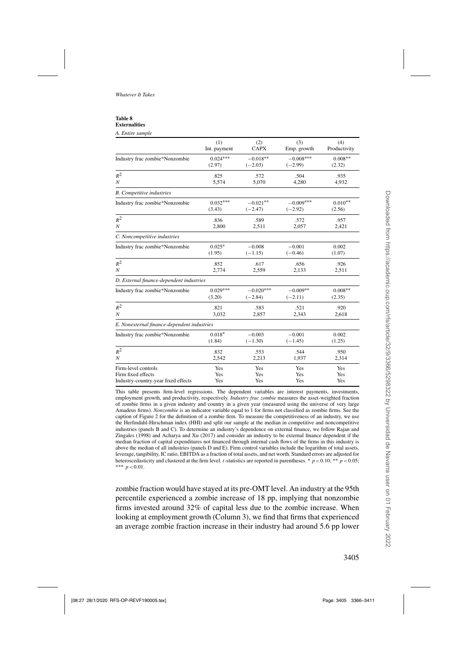## <span id="page-39-0"></span>**Table 8 Externalities**

|  |  | A. Entire sample |  |
|--|--|------------------|--|
|--|--|------------------|--|

|                                             | (1)          | (2)         | (3)         | (4)          |
|---------------------------------------------|--------------|-------------|-------------|--------------|
|                                             | Int. payment | <b>CAPX</b> | Emp. growth | Productivity |
| Industry frac zombie*Nonzombie              | $0.024***$   | $-0.018**$  | $-0.008***$ | $0.008**$    |
|                                             | (2.97)       | $(-2.03)$   | $(-2.99)$   | (2.32)       |
| $\mathbb{R}^2$                              | .825         | .572        | .504        | .935         |
| $\boldsymbol{N}$                            | 5,574        | 5,070       | 4,280       | 4,932        |
| <b>B.</b> Competitive industries            |              |             |             |              |
| Industry frac zombie*Nonzombie              | $0.032***$   | $-0.021**$  | $-0.009***$ | $0.010**$    |
|                                             | (3.43)       | $(-2.47)$   | $(-2.92)$   | (2.56)       |
| $R^2$                                       | .836         | .589        | .572        | .957         |
| $\cal N$                                    | 2,800        | 2,511       | 2,057       | 2,421        |
| C. Noncompetitive industries                |              |             |             |              |
| Industry frac zombie*Nonzombie              | $0.025*$     | $-0.008$    | $-0.001$    | 0.002        |
|                                             | (1.95)       | $(-1.15)$   | $(-0.46)$   | (1.07)       |
| $R^2$                                       | .852         | .617        | .656        | .926         |
| $\boldsymbol{N}$                            | 2,774        | 2,559       | 2,133       | 2,511        |
| D. External finance-dependent industries    |              |             |             |              |
| Industry frac zombie*Nonzombie              | $0.029***$   | $-0.020***$ | $-0.009**$  | $0.008**$    |
|                                             | (3.20)       | $(-2.84)$   | $(-2.11)$   | (2.35)       |
| $R^2$                                       | .821         | .583        | .521        | .920         |
| N                                           | 3,032        | 2,857       | 2,343       | 2,618        |
| E. Nonexternal finance-dependent industries |              |             |             |              |
| Industry frac zombie*Nonzombie              | $0.018*$     | $-0.003$    | $-0.001$    | 0.002        |
|                                             | (1.84)       | $(-1.30)$   | $(-1.45)$   | (1.25)       |
| $R^2$                                       | .832         | .553        | .544        | .950         |
| $\boldsymbol{N}$                            | 2,542        | 2,213       | 1,937       | 2,314        |
| Firm-level controls                         | Yes          | Yes         | Yes         | Yes          |
| Firm fixed effects                          | Yes          | Yes         | Yes         | Yes          |
| Industry-country-year fixed effects         | Yes          | Yes         | Yes         | Yes          |

This table presents firm-level regressions. The dependent variables are interest payments, investments, employment growth, and productivity, respectively. *Industry frac zombie* measures the asset-weighted fraction of zombie firms in a given industry and country in a given year (measured using the universe of very large Amadeus firms). *Nonzombie* is an indicator variable equal to 1 for firms not classified as zombie firms. See the caption of Figure [2](#page-21-0) for the definition of a zombie firm. To measure the competitiveness of an industry, we use the Herfindahl-Hirschman index (HHI) and split our sample at the median in competitive and noncompetitive industri[es \(panels B and C\). To determine an industry's dependence on external finance, we follow](#page-45-0) Rajan and Zingales [\(1998](#page-45-0)) and [Acharya and Xu](#page-42-0) [\(2017\)](#page-42-0) and consider an industry to be external finance dependent if the median fraction of capital expenditures not financed through internal cash flows of the firms in this industry is above the median of all industries (panels D and E). Firm control variables include the logarithm of total assets, leverage, tangibility, IC ratio, EBITDA as a fraction of total assets, and net worth. Standard errors are adjusted for heteroscedasticity and clustered at the firm level. *<sup>t</sup>*-statistics are reported in parentheses. \* *p <*0*.*10; \*\* *p <*0*.*05; \*\*\* *p <*0*.*01.

zombie fraction would have stayed at its pre-OMT level. An industry at the 95th percentile experienced a zombie increase of 18 pp, implying that nonzombie firms invested around 32% of capital less due to the zombie increase. When looking at employment growth (Column 3), we find that firms that experienced an average zombie fraction increase in their industry had around 5.6 pp lower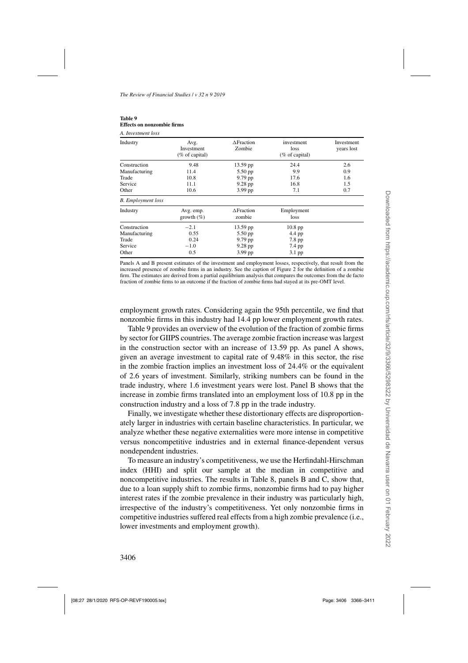| Table 9                           |
|-----------------------------------|
| <b>Effects on nonzombie firms</b> |

| A. Investment loss        |                                      |                             |                                      |                          |  |  |
|---------------------------|--------------------------------------|-----------------------------|--------------------------------------|--------------------------|--|--|
| Industry                  | Avg.<br>Investment<br>(% of capital) | $\Delta$ Fraction<br>Zombie | investment<br>loss<br>(% of capital) | Investment<br>years lost |  |  |
| Construction              | 9.48                                 | 13.59 pp                    | 24.4                                 | 2.6                      |  |  |
| Manufacturing             | 11.4                                 | $5.50$ pp                   | 9.9                                  | 0.9                      |  |  |
| Trade                     | 10.8                                 | 9.79 pp                     | 17.6                                 | 1.6                      |  |  |
| Service                   | 11.1                                 | 9.28 pp                     | 16.8                                 | 1.5                      |  |  |
| Other                     | 10.6                                 | 3.99 pp                     | 7.1                                  | 0.7                      |  |  |
| <b>B.</b> Employment loss |                                      |                             |                                      |                          |  |  |
| Industry                  | Avg. emp.<br>growth $(\% )$          | $\Delta$ Fraction<br>zombie | Employment<br>loss                   |                          |  |  |
| Construction              | $-2.1$                               | 13.59 pp                    | $10.8$ pp                            |                          |  |  |
| Manufacturing             | 0.55                                 | 5.50 pp                     | 4.4 pp                               |                          |  |  |
| Trade                     | 0.24                                 | 9.79 pp                     | 7.8 pp                               |                          |  |  |
| Service                   | $-1.0$                               | 9.28 pp                     | 7.4 pp                               |                          |  |  |
| Other                     | 0.5                                  | 3.99 pp                     | 3.1 pp                               |                          |  |  |

Panels A and B present estimates of the investment and employment losses, respectively, that result from the increased presence of zombie firms in an industry. See the caption of Figure [2](#page-21-0) for the definition of a zombie firm. The estimates are derived from a partial equilibrium analysis that compares the outcomes from the de facto fraction of zombie firms to an outcome if the fraction of zombie firms had stayed at its pre-OMT level.

employment growth rates. Considering again the 95th percentile, we find that nonzombie firms in this industry had 14.4 pp lower employment growth rates.

Table 9 provides an overview of the evolution of the fraction of zombie firms by sector for GIIPS countries. The average zombie fraction increase was largest in the construction sector with an increase of 13.59 pp. As panel A shows, given an average investment to capital rate of 9.48% in this sector, the rise in the zombie fraction implies an investment loss of 24.4% or the equivalent of 2.6 years of investment. Similarly, striking numbers can be found in the trade industry, where 1.6 investment years were lost. Panel B shows that the increase in zombie firms translated into an employment loss of 10.8 pp in the construction industry and a loss of 7.8 pp in the trade industry.

Finally, we investigate whether these distortionary effects are disproportionately larger in industries with certain baseline characteristics. In particular, we analyze whether these negative externalities were more intense in competitive versus noncompetitive industries and in external finance-dependent versus nondependent industries.

To measure an industry's competitiveness, we use the Herfindahl-Hirschman index (HHI) and split our sample at the median in competitive and noncompetitive industries. The results in Table [8,](#page-39-0) panels B and C, show that, due to a loan supply shift to zombie firms, nonzombie firms had to pay higher interest rates if the zombie prevalence in their industry was particularly high, irrespective of the industry's competitiveness. Yet only nonzombie firms in competitive industries suffered real effects from a high zombie prevalence (i.e., lower investments and employment growth).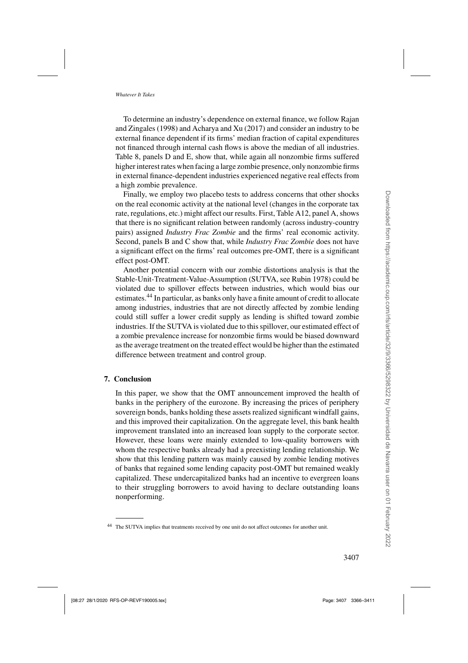To determ[ine](#page-45-0) [an](#page-45-0) [industry's](#page-45-0) [dependence](#page-45-0) [on](#page-45-0) [external](#page-45-0) [finance,](#page-45-0) [we](#page-45-0) [follow](#page-45-0) Rajan and Zingales [\(1998\)](#page-45-0) and [Acharya and Xu](#page-42-0) [\(2017\)](#page-42-0) and consider an industry to be external finance dependent if its firms' median fraction of capital expenditures not financed through internal cash flows is above the median of all industries. Table [8,](#page-39-0) panels D and E, show that, while again all nonzombie firms suffered higher interest rates when facing a large zombie presence, only nonzombie firms in external finance-dependent industries experienced negative real effects from a high zombie prevalence.

Finally, we employ two placebo tests to address concerns that other shocks on the real economic activity at the national level (changes in the corporate tax rate, regulations, etc.) might affect our results. First, Table A12, panel A, shows that there is no significant relation between randomly (across industry-country pairs) assigned *Industry Frac Zombie* and the firms' real economic activity. Second, panels B and C show that, while *Industry Frac Zombie* does not have a significant effect on the firms' real outcomes pre-OMT, there is a significant effect post-OMT.

Another potential concern with our zombie distortions analysis is that the Stable-Unit-Treatment-Value-Assumption (SUTVA, see [Rubin 1978](#page-45-0)) could be violated due to spillover effects between industries, which would bias our estimates.<sup>44</sup> In particular, as banks only have a finite amount of credit to allocate among industries, industries that are not directly affected by zombie lending could still suffer a lower credit supply as lending is shifted toward zombie industries. If the SUTVA is violated due to this spillover, our estimated effect of a zombie prevalence increase for nonzombie firms would be biased downward as the average treatment on the treated effect would be higher than the estimated difference between treatment and control group.

# **7. Conclusion**

In this paper, we show that the OMT announcement improved the health of banks in the periphery of the eurozone. By increasing the prices of periphery sovereign bonds, banks holding these assets realized significant windfall gains, and this improved their capitalization. On the aggregate level, this bank health improvement translated into an increased loan supply to the corporate sector. However, these loans were mainly extended to low-quality borrowers with whom the respective banks already had a preexisting lending relationship. We show that this lending pattern was mainly caused by zombie lending motives of banks that regained some lending capacity post-OMT but remained weakly capitalized. These undercapitalized banks had an incentive to evergreen loans to their struggling borrowers to avoid having to declare outstanding loans nonperforming.

<sup>&</sup>lt;sup>44</sup> The SUTVA implies that treatments received by one unit do not affect outcomes for another unit.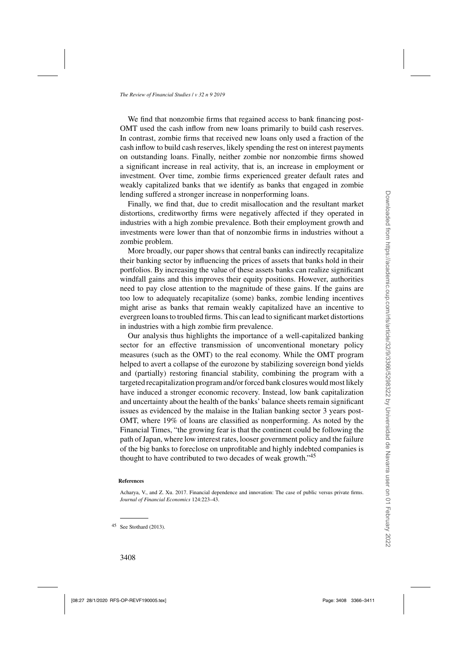<span id="page-42-0"></span>We find that nonzombie firms that regained access to bank financing post-OMT used the cash inflow from new loans primarily to build cash reserves. In contrast, zombie firms that received new loans only used a fraction of the cash inflow to build cash reserves, likely spending the rest on interest payments on outstanding loans. Finally, neither zombie nor nonzombie firms showed a significant increase in real activity, that is, an increase in employment or investment. Over time, zombie firms experienced greater default rates and weakly capitalized banks that we identify as banks that engaged in zombie lending suffered a stronger increase in nonperforming loans.

Finally, we find that, due to credit misallocation and the resultant market distortions, creditworthy firms were negatively affected if they operated in industries with a high zombie prevalence. Both their employment growth and investments were lower than that of nonzombie firms in industries without a zombie problem.

More broadly, our paper shows that central banks can indirectly recapitalize their banking sector by influencing the prices of assets that banks hold in their portfolios. By increasing the value of these assets banks can realize significant windfall gains and this improves their equity positions. However, authorities need to pay close attention to the magnitude of these gains. If the gains are too low to adequately recapitalize (some) banks, zombie lending incentives might arise as banks that remain weakly capitalized have an incentive to evergreen loans to troubled firms. This can lead to significant market distortions in industries with a high zombie firm prevalence.

Our analysis thus highlights the importance of a well-capitalized banking sector for an effective transmission of unconventional monetary policy measures (such as the OMT) to the real economy. While the OMT program helped to avert a collapse of the eurozone by stabilizing sovereign bond yields and (partially) restoring financial stability, combining the program with a targeted recapitalization program and/or forced bank closures would most likely have induced a stronger economic recovery. Instead, low bank capitalization and uncertainty about the health of the banks' balance sheets remain significant issues as evidenced by the malaise in the Italian banking sector 3 years post-OMT, where 19% of loans are classified as nonperforming. As noted by the Financial Times, "the growing fear is that the continent could be following the path of Japan, where low interest rates, looser government policy and the failure of the big banks to foreclose on unprofitable and highly indebted companies is thought to have contributed to two decades of weak growth."<sup>45</sup>

#### **References**

Acharya, V., and Z. Xu. 2017. Financial dependence and innovation: The case of public versus private firms. *Journal of Financial Economics* 124:223–43.

<sup>45</sup> See [Stothard](#page-45-0) [\(2013\)](#page-45-0).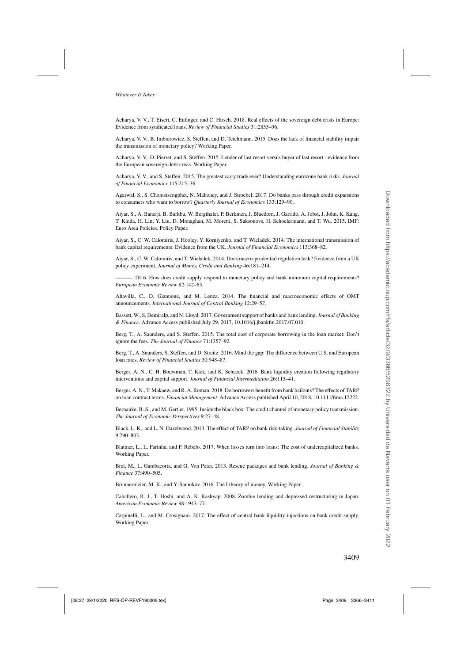<span id="page-43-0"></span>Acharya, V. V., T. Eisert, C. Eufinger, and C. Hirsch. 2018. Real effects of the sovereign debt crisis in Europe: Evidence from syndicated loans. *Review of Financial Studies* 31:2855–96.

Acharya, V. V., B. Imbierowicz, S. Steffen, and D. Teichmann. 2015. Does the lack of financial stability impair the transmission of monetary policy? Working Paper.

Acharya, V. V., D. Pierret, and S. Steffen. 2015. Lender of last resort versus buyer of last resort - evidence from the European sovereign debt crisis. Working Paper.

Acharya, V. V., and S. Steffen. 2015. The greatest carry trade ever? Understanding eurozone bank risks. *Journal of Financial Economics* 115:215–36.

Agarwal, S., S. Chomsisengphet, N. Mahoney, and J. Stroebel. 2017. Do banks pass through credit expansions to consumers who want to borrow? *Quarterly Journal of Economics* 133:129–90.

Aiyar, S., A. Banerji, B. Barkbu, W. Bergthaler, P. Berkmen, J. Bluedorn, J. Garrido, A. Jobst, J. John, K. Kang, T. Kinda, H. Lin, Y. Liu, D. Monaghan, M. Moretti, S. Saksonovs, H. Schoelermann, and T. Wu. 2015. IMF: Euro Area Policies. Policy Paper.

Aiyar, S., C. W. Calomiris, J. Hooley, Y. Korniyenko, and T. Wieladek. 2014. The international transmission of bank capital requirements: Evidence from the UK. *Journal of Financial Economics* 113:368–82.

Aiyar, S., C. W. Calomiris, and T. Wieladek. 2014. Does macro-prudential regulation leak? Evidence from a UK policy experiment. *Journal of Money, Credit and Banking* 46:181–214.

———. 2016. How does credit supply respond to monetary policy and bank minimum capital requirements? *European Economic Review* 82:142–65.

Altavilla, C., D. Giannone, and M. Lenza. 2014. The financial and macroeconomic effects of OMT announcements. *International Journal of Central Banking* 12:29–57.

Bassett, W., S. Demiralp, and N. Lloyd. 2017. Government support of banks and bank lending. *Journal of Banking & Finance*. Advance Access published July 29, 2017, 10.1016/j.jbankfin.2017.07.010.

Berg, T., A. Saunders, and S. Steffen. 2015. The total cost of corporate borrowing in the loan market: Don't ignore the fees. *The Journal of Finance* 71:1357–92.

Berg, T., A. Saunders, S. Steffen, and D. Streitz. 2016. Mind the gap: The difference between U.S. and European loan rates. *Review of Financial Studies* 30:948–87.

Berger, A. N., C. H. Bouwman, T. Kick, and K. Schaeck. 2016. Bank liquidity creation following regulatory interventions and capital support. *Journal of Financial Intermediation* 26:115–41.

Berger, A. N., T. Makaew, and R. A. Roman. 2018. Do borrowers benefit from bank bailouts? The effects of TARP on loan contract terms. *Financial Management*. Advance Access published April 10, 2018, 10.1111/fima.12222.

Bernanke, B. S., and M. Gertler. 1995. Inside the black box: The credit channel of monetary policy transmission. *The Journal of Economic Perspectives* 9:27–48.

Black, L. K., and L. N. Hazelwood. 2013. The effect of TARP on bank risk-taking. *Journal of Financial Stability* 9:790–803.

Blattner, L., L. Farinha, and F. Rebelo. 2017. When losses turn into loans: The cost of undercapitalized banks. Working Paper.

Brei, M., L. Gambacorta, and G. Von Peter. 2013. Rescue packages and bank lending. *Journal of Banking & Finance* 37:490–505.

Brunnermeier, M. K., and Y. Sannikov. 2016. The I theory of money. Working Paper.

Caballero, R. J., T. Hoshi, and A. K. Kashyap. 2008. Zombie lending and depressed restructuring in Japan. *American Economic Review* 98:1943–77.

Carpinelli, L., and M. Crosignani. 2017. The effect of central bank liquidity injections on bank credit supply. Working Paper.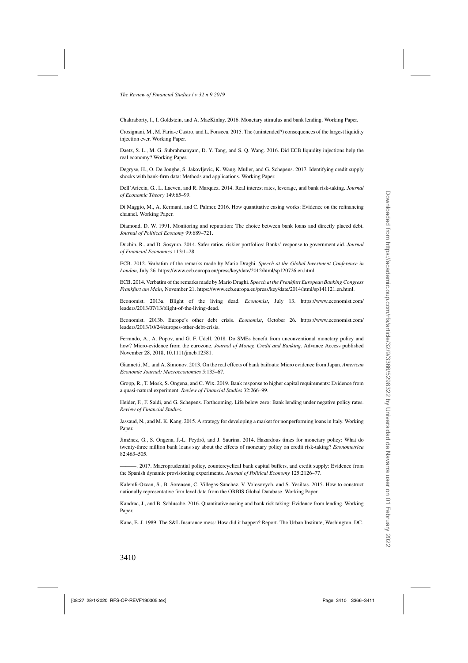<span id="page-44-0"></span>Chakraborty, I., I. Goldstein, and A. MacKinlay. 2016. Monetary stimulus and bank lending. Working Paper.

Crosignani, M., M. Faria-e Castro, and L. Fonseca. 2015. The (unintended?) consequences of the largest liquidity injection ever. Working Paper.

Daetz, S. L., M. G. Subrahmanyam, D. Y. Tang, and S. Q. Wang. 2016. Did ECB liquidity injections help the real economy? Working Paper.

Degryse, H., O. De Jonghe, S. Jakovljevic, K. Wang, Mulier, and G. Schepens. 2017. Identifying credit supply shocks with bank-firm data: Methods and applications. Working Paper.

Dell'Ariccia, G., L. Laeven, and R. Marquez. 2014. Real interest rates, leverage, and bank risk-taking. *Journal of Economic Theory* 149:65–99.

Di Maggio, M., A. Kermani, and C. Palmer. 2016. How quantitative easing works: Evidence on the refinancing channel. Working Paper.

Diamond, D. W. 1991. Monitoring and reputation: The choice between bank loans and directly placed debt. *Journal of Political Economy* 99:689–721.

Duchin, R., and D. Sosyura. 2014. Safer ratios, riskier portfolios: Banks' response to government aid. *Journal of Financial Economics* 113:1–28.

ECB. 2012. Verbatim of the remarks made by Mario Draghi. *Speech at the Global Investment Conference in London*, July 26. [https://www.ecb.europa.eu/press/key/date/2012/html/sp120726.en.html.](https://www.ecb.europa.eu/press/key/date/2012/html/sp120726.en.html)

ECB. 2014. Verbatim of the remarks made by Mario Draghi. *Speech at the Frankfurt European Banking Congress Frankfurt am Main*, November 21. [https://www.ecb.europa.eu/press/key/date/2014/html/sp141121.en.html.](https://www.ecb.europa.eu/press/key/date/2014/html/sp141121.en.html)

Economist. 2013a. Blight of the living dead. *Economist*, July 13. [https://www.economist.com/](https://www.economist.com/leaders/2013/07/13/blight-of-the-living-dead) [leaders/2013/07/13/blight-of-the-living-dead.](https://www.economist.com/leaders/2013/07/13/blight-of-the-living-dead)

Economist. 2013b. Europe's other debt crisis. *Economist*, October 26. [https://www.economist.com/](https://www.economist.com/leaders/2013/10/24/europes-other-debt-crisis) [leaders/2013/10/24/europes-other-debt-crisis.](https://www.economist.com/leaders/2013/10/24/europes-other-debt-crisis)

Ferrando, A., A. Popov, and G. F. Udell. 2018. Do SMEs benefit from unconventional monetary policy and how? Micro-evidence from the eurozone. *Journal of Money, Credit and Banking*. Advance Access published November 28, 2018, 10.1111/jmcb.12581.

Giannetti, M., and A. Simonov. 2013. On the real effects of bank bailouts: Micro evidence from Japan. *American Economic Journal: Macroeconomics* 5:135–67.

Gropp, R., T. Mosk, S. Ongena, and C. Wix. 2019. Bank response to higher capital requirements: Evidence from a quasi-natural experiment. *Review of Financial Studies* 32:266–99.

Heider, F., F. Saidi, and G. Schepens. Forthcoming. Life below zero: Bank lending under negative policy rates. *Review of Financial Studies*.

Jassaud, N., and M. K. Kang. 2015. A strategy for developing a market for nonperforming loans in Italy. Working Paper.

Jiménez, G., S. Ongena, J.-L. Peydró, and J. Saurina. 2014. Hazardous times for monetary policy: What do twenty-three million bank loans say about the effects of monetary policy on credit risk-taking? *Econometrica* 82:463–505.

———. 2017. Macroprudential policy, countercyclical bank capital buffers, and credit supply: Evidence from the Spanish dynamic provisioning experiments. *Journal of Political Economy* 125:2126–77.

Kalemli-Ozcan, S., B. Sorensen, C. Villegas-Sanchez, V. Volosovych, and S. Yesiltas. 2015. How to construct nationally representative firm level data from the ORBIS Global Database. Working Paper.

Kandrac, J., and B. Schlusche. 2016. Quantitative easing and bank risk taking: Evidence from lending. Working Paper.

Kane, E. J. 1989. The S&L Insurance mess: How did it happen? Report. The Urban Institute, Washington, DC.